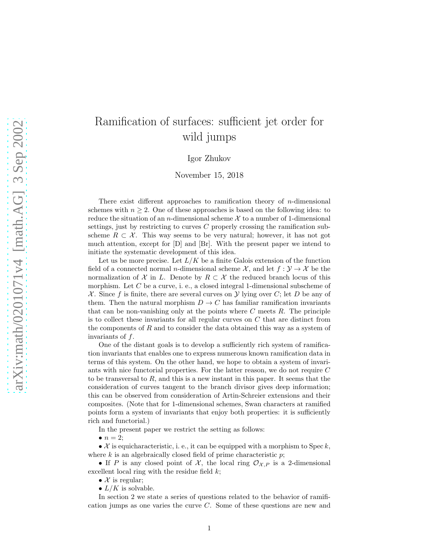# Ramification of surfaces: sufficient jet order for wild jumps

Igor Zhukov

November 15, 2018

There exist different approaches to ramification theory of  $n$ -dimensional schemes with  $n \geq 2$ . One of these approaches is based on the following idea: to reduce the situation of an *n*-dimensional scheme  $\mathcal X$  to a number of 1-dimensional settings, just by restricting to curves C properly crossing the ramification subscheme  $R \subset \mathcal{X}$ . This way seems to be very natural; however, it has not got much attention, except for [D] and [Br]. With the present paper we intend to initiate the systematic development of this idea.

Let us be more precise. Let  $L/K$  be a finite Galois extension of the function field of a connected normal *n*-dimensional scheme  $\mathcal{X}$ , and let  $f : \mathcal{Y} \to \mathcal{X}$  be the normalization of X in L. Denote by  $R \subset \mathcal{X}$  the reduced branch locus of this morphism. Let  $C$  be a curve, i. e., a closed integral 1-dimensional subscheme of X. Since f is finite, there are several curves on  $\mathcal Y$  lying over C; let D be any of them. Then the natural morphism  $D \to C$  has familiar ramification invariants that can be non-vanishing only at the points where  $C$  meets  $R$ . The principle is to collect these invariants for all regular curves on C that are distinct from the components of  $R$  and to consider the data obtained this way as a system of invariants of f.

One of the distant goals is to develop a sufficiently rich system of ramification invariants that enables one to express numerous known ramification data in terms of this system. On the other hand, we hope to obtain a system of invariants with nice functorial properties. For the latter reason, we do not require C to be transversal to  $R$ , and this is a new instant in this paper. It seems that the consideration of curves tangent to the branch divisor gives deep information; this can be observed from consideration of Artin-Schreier extensions and their composites. (Note that for 1-dimensional schemes, Swan characters at ramified points form a system of invariants that enjoy both properties: it is sufficiently rich and functorial.)

In the present paper we restrict the setting as follows:

 $\bullet$   $n = 2$ ;

•  $X$  is equicharacteristic, i. e., it can be equipped with a morphism to Spec  $k$ , where  $k$  is an algebraically closed field of prime characteristic  $p$ ;

• If P is any closed point of X, the local ring  $\mathcal{O}_{\mathcal{X},P}$  is a 2-dimensional excellent local ring with the residue field  $k$ ;

•  $X$  is regular;

•  $L/K$  is solvable.

In section 2 we state a series of questions related to the behavior of ramification jumps as one varies the curve C. Some of these questions are new and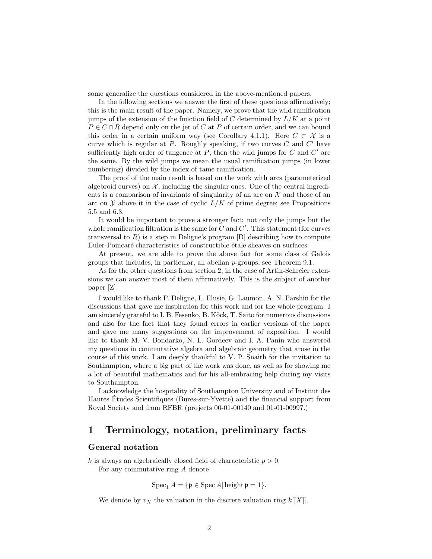some generalize the questions considered in the above-mentioned papers.

In the following sections we answer the first of these questions affirmatively; this is the main result of the paper. Namely, we prove that the wild ramification jumps of the extension of the function field of C determined by  $L/K$  at a point  $P \in C \cap R$  depend only on the jet of C at P of certain order, and we can bound this order in a certain uniform way (see Corollary 4.1.1). Here  $C \subset \mathcal{X}$  is a curve which is regular at  $P$ . Roughly speaking, if two curves  $C$  and  $C'$  have sufficiently high order of tangence at  $P$ , then the wild jumps for  $C$  and  $C'$  are the same. By the wild jumps we mean the usual ramification jumps (in lower numbering) divided by the index of tame ramification.

The proof of the main result is based on the work with arcs (parameterized algebroid curves) on  $\mathcal{X}$ , including the singular ones. One of the central ingredients is a comparison of invariants of singularity of an arc on  $\mathcal X$  and those of an arc on  $\mathcal Y$  above it in the case of cyclic  $L/K$  of prime degree; see Propositions 5.5 and 6.3.

It would be important to prove a stronger fact: not only the jumps but the whole ramification filtration is the same for  $C$  and  $C'$ . This statement (for curves transversal to  $R$ ) is a step in Deligne's program [D] describing how to compute Euler-Poincaré characteristics of constructible étale sheaves on surfaces.

At present, we are able to prove the above fact for some class of Galois groups that includes, in particular, all abelian p-groups, see Theorem 9.1.

As for the other questions from section 2, in the case of Artin-Schreier extensions we can answer most of them affirmatively. This is the subject of another paper [Z].

I would like to thank P. Deligne, L. Illusie, G. Laumon, A. N. Parshin for the discussions that gave me inspiration for this work and for the whole program. I am sincerely grateful to I. B. Fesenko, B. Köck, T. Saito for numerous discussions and also for the fact that they found errors in earlier versions of the paper and gave me many suggestions on the improvement of exposition. I would like to thank M. V. Bondarko, N. L. Gordeev and I. A. Panin who answered my questions in commutative algebra and algebraic geometry that arose in the course of this work. I am deeply thankful to V. P. Snaith for the invitation to Southampton, where a big part of the work was done, as well as for showing me a lot of beautiful mathematics and for his all-embracing help during my visits to Southampton.

I acknowledge the hospitality of Southampton University and of Institut des Hautes Etudes Scientifiques (Bures-sur-Yvette) and the financial support from Royal Society and from RFBR (projects 00-01-00140 and 01-01-00997.)

# 1 Terminology, notation, preliminary facts

## General notation

k is always an algebraically closed field of characteristic  $p > 0$ . For any commutative ring A denote

$$
\operatorname{Spec}_1 A = \{ \mathfrak{p} \in \operatorname{Spec} A | \operatorname{height} \mathfrak{p} = 1 \}.
$$

We denote by  $v_X$  the valuation in the discrete valuation ring  $k[[X]]$ .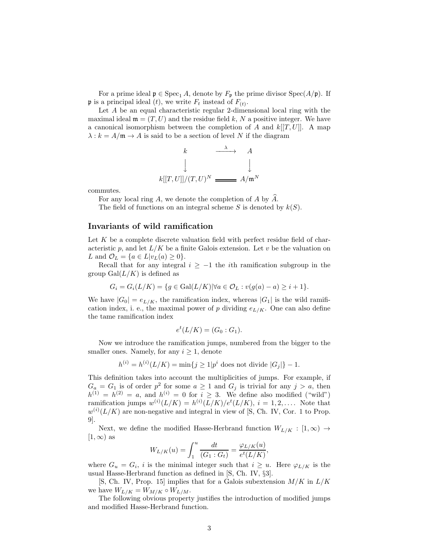For a prime ideal  $\mathfrak{p} \in \text{Spec}_1 A$ , denote by  $F_{\mathfrak{p}}$  the prime divisor  $\text{Spec}(A/\mathfrak{p})$ . If **p** is a principal ideal (*t*), we write  $F_t$  instead of  $F_{(t)}$ .

Let A be an equal characteristic regular 2-dimensional local ring with the maximal ideal  $\mathfrak{m} = (T, U)$  and the residue field k, N a positive integer. We have a canonical isomorphism between the completion of A and  $k[[T, U]]$ . A map  $\lambda : k = A/\mathfrak{m} \to A$  is said to be a section of level N if the diagram

$$
k \xrightarrow{\lambda} A
$$
  
\n
$$
\downarrow \qquad \qquad \downarrow
$$
  
\n
$$
k[[T, U]]/(T, U)^N \xrightarrow{\lambda} A/\mathfrak{m}^N
$$

commutes.

For any local ring A, we denote the completion of A by  $\widehat{A}$ . The field of functions on an integral scheme S is denoted by  $k(S)$ .

#### Invariants of wild ramification

Let  $K$  be a complete discrete valuation field with perfect residue field of characteristic p, and let  $L/K$  be a finite Galois extension. Let v be the valuation on L and  $\mathcal{O}_L = \{a \in L | v_L(a) \geq 0\}.$ 

Recall that for any integral  $i \geq -1$  the *i*th ramification subgroup in the group  $Gal(L/K)$  is defined as

$$
G_i = G_i(L/K) = \{ g \in \text{Gal}(L/K) | \forall a \in \mathcal{O}_L : v(g(a) - a) \geq i + 1 \}.
$$

We have  $|G_0| = e_{L/K}$ , the ramification index, whereas  $|G_1|$  is the wild ramification index, i. e., the maximal power of p dividing  $e_{L/K}$ . One can also define the tame ramification index

$$
e^t(L/K) = (G_0:G_1).
$$

Now we introduce the ramification jumps, numbered from the bigger to the smaller ones. Namely, for any  $i \geq 1$ , denote

$$
h^{(i)} = h^{(i)}(L/K) = \min\{j \ge 1 | p^i \text{ does not divide } |G_j|\} - 1.
$$

This definition takes into account the multiplicities of jumps. For example, if  $G_a = G_1$  is of order  $p^2$  for some  $a \ge 1$  and  $G_j$  is trivial for any  $j > a$ , then  $h^{(1)} = h^{(2)} = a$ , and  $h^{(i)} = 0$  for  $i \geq 3$ . We define also modified ("wild") ramification jumps  $w^{(i)}(L/K) = h^{(i)}(L/K)/e^{t}(L/K), i = 1, 2, \ldots$ . Note that  $w^{(i)}(L/K)$  are non-negative and integral in view of [S, Ch. IV, Cor. 1 to Prop. 9].

Next, we define the modified Hasse-Herbrand function  $W_{L/K} : [1, \infty) \rightarrow$  $[1, \infty)$  as

$$
W_{L/K}(u) = \int_1^u \frac{dt}{(G_1 : G_t)} = \frac{\varphi_{L/K}(u)}{e^t(L/K)},
$$

where  $G_u = G_i$ , i is the minimal integer such that  $i \geq u$ . Here  $\varphi_{L/K}$  is the usual Hasse-Herbrand function as defined in [S, Ch. IV, §3].

[S, Ch. IV, Prop. 15] implies that for a Galois subextension  $M/K$  in  $L/K$ we have  $W_{L/K} = W_{M/K} \circ W_{L/M}$ .

The following obvious property justifies the introduction of modified jumps and modified Hasse-Herbrand function.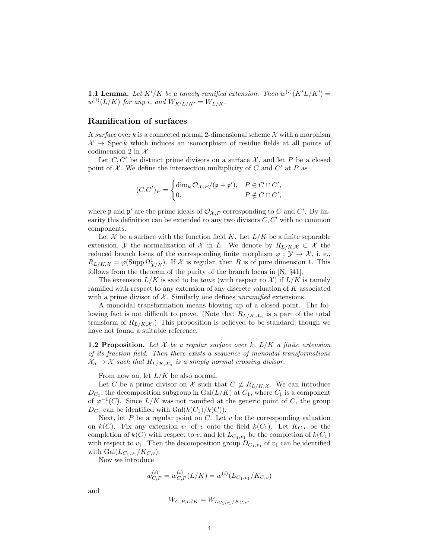**1.1 Lemma.** Let  $K'/K$  be a tamely ramified extension. Then  $w^{(i)}(K'L/K') =$  $w^{(i)}(L/K)$  for any i, and  $W_{K'L/K'} = W_{L/K}$ .

## Ramification of surfaces

A surface over k is a connected normal 2-dimensional scheme  $\mathcal X$  with a morphism  $\mathcal{X} \rightarrow \text{Spec } k$  which induces an isomorphism of residue fields at all points of codimension 2 in  $\mathcal{X}$ .

Let  $C, C'$  be distinct prime divisors on a surface  $\mathcal{X}$ , and let P be a closed point of  $X$ . We define the intersection multiplicity of C and C' at P as

$$
(C.C')_P = \begin{cases} \dim_k \mathcal{O}_{\mathcal{X},P}/(\mathfrak{p} + \mathfrak{p}'), & P \in C \cap C', \\ 0, & P \notin C \cap C', \end{cases}
$$

where **p** and **p**' are the prime ideals of  $\mathcal{O}_{\mathcal{X},P}$  corresponding to C and C'. By linearity this definition can be extended to any two divisors  $C, C'$  with no common components.

Let X be a surface with the function field K. Let  $L/K$  be a finite separable extension, Y the normalization of X in L. We denote by  $R_{L/K,X} \subset \mathcal{X}$  the reduced branch locus of the corresponding finite morphism  $\varphi : \mathcal{Y} \to \mathcal{X}$ , i. e.,  $R_{L/K,\mathcal{X}} = \varphi(\mathrm{Supp}\, \Omega^1_{\mathcal{Y}/\mathcal{X}})$ . If X is regular, then R is of pure dimension 1. This follows from the theorem of the purity of the branch locus in [N, §41].

The extension  $L/K$  is said to be tame (with respect to X) if  $L/K$  is tamely ramified with respect to any extension of any discrete valuation of K associated with a prime divisor of  $X$ . Similarly one defines *unramified* extensions.

A monoidal transformation means blowing up of a closed point. The following fact is not difficult to prove. (Note that  $R_{L/K,\mathcal{X}_n}$  is a part of the total transform of  $R_{L/K,X}$ .) This proposition is believed to be standard, though we have not found a suitable reference.

**1.2 Proposition.** Let X be a regular surface over k,  $L/K$  a finite extension of its fraction field. Then there exists a sequence of monoidal transformations  $\mathcal{X}_n \to \mathcal{X}$  such that  $R_{L/K,\mathcal{X}_n}$  is a simply normal crossing divisor.

From now on, let  $L/K$  be also normal.

Let C be a prime divisor on X such that  $C \not\subset R_{L/K,\mathcal{X}}$ . We can introduce  $D_{C_1}$ , the decomposition subgroup in  $Gal(L/K)$  at  $C_1$ , where  $C_1$  is a component of  $\varphi^{-1}(C)$ . Since  $L/K$  was not ramified at the generic point of C, the group  $D_{C_1}$  can be identified with  $Gal(k(C_1)/k(C)).$ 

Next, let  $P$  be a regular point on  $C$ . Let  $v$  be the corresponding valuation on  $k(C)$ . Fix any extension  $v_1$  of v onto the field  $k(C_1)$ . Let  $K_{C,v}$  be the completion of  $k(C)$  with respect to v, and let  $L_{C_1,v_1}$  be the completion of  $k(C_1)$ with respect to  $v_1$ . Then the decomposition group  $D_{C_1,v_1}$  of  $v_1$  can be identified with Gal $(L_{C_1,v_1}/K_{C,v}).$ 

Now we introduce

$$
w_{C,P}^{(i)} = w_{C,P}^{(i)}(L/K) = w^{(i)}(L_{C_1,v_1}/K_{C,v})
$$

and

$$
W_{C,P,L/K} = W_{L_{C_1,v_1}/K_{C,v}}
$$
.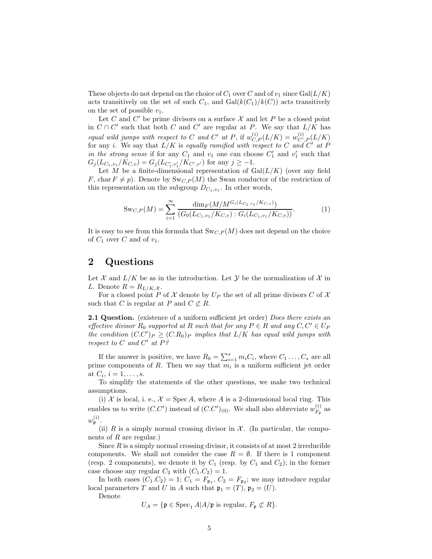These objects do not depend on the choice of  $C_1$  over C and of  $v_1$  since  $Gal(L/K)$ acts transitively on the set of such  $C_1$ , and  $Gal(k(C_1)/k(C))$  acts transitively on the set of possible  $v_1$ .

Let C and C' be prime divisors on a surface  $\mathcal X$  and let P be a closed point in  $C \cap C'$  such that both C and C' are regular at P. We say that  $L/K$  has equal wild jumps with respect to C and C' at P, if  $w_{C,P}^{(i)}(L/K) = w_{C',P}^{(i)}(L/K)$ for any i. We say that  $L/K$  is equally ramified with respect to C and C' at P in the strong sense if for any  $C_1$  and  $v_1$  one can choose  $C'_1$  and  $v'_1$  such that  $G_j(L_{C_1,v_1}/K_{C,v}) = G_j(L_{C'_1,v'_1}/K_{C',v'})$  for any  $j \ge -1$ .

Let M be a finite-dimensional representation of  $Gal(L/K)$  (over any field F, char  $F \neq p$ . Denote by  $\text{Sw}_{C,P}(M)$  the Swan conductor of the restriction of this representation on the subgroup  $D_{C_1,v_1}$ . In other words,

$$
Sw_{C,P}(M) = \sum_{i=1}^{\infty} \frac{\dim_F(M/M^{G_i(L_{C_1,v_1}/K_{C,v})})}{(G_0(L_{C_1,v_1}/K_{C,v}) : G_i(L_{C_1,v_1}/K_{C,v}))}.
$$
 (1)

It is easy to see from this formula that  $\text{Sw}_{C,P}(M)$  does not depend on the choice of  $C_1$  over  $C$  and of  $v_1$ .

# 2 Questions

Let X and  $L/K$  be as in the introduction. Let Y be the normalization of X in L. Denote  $R = R_{L/K, \mathcal{X}}$ .

For a closed point P of X denote by  $U_P$  the set of all prime divisors C of X such that C is regular at P and  $C \not\subset R$ .

**2.1 Question.** (existence of a uniform sufficient jet order) Does there exists an effective divisor  $R_0$  supported at R such that for any  $P \in R$  and any  $C, C' \in U_P$ the condition  $(C.C')_P \geq (C.R_0)_P$  implies that  $L/K$  has equal wild jumps with respect to  $C$  and  $C'$  at  $P$ ?

If the answer is positive, we have  $R_0 = \sum_{i=1}^s m_i C_i$ , where  $C_1 \ldots, C_s$  are all prime components of R. Then we say that  $m_i$  is a uniform sufficient jet order at  $C_i, i = 1, ..., s$ .

To simplify the statements of the other questions, we make two technical assumptions.

(i) X is local, i. e.,  $\mathcal{X} = \text{Spec } A$ , where A is a 2-dimensional local ring. This enables us to write  $(C.C')$  instead of  $(C.C')_{(0)}$ . We shall also abbreviate  $w_{F_n}^{(i)}$  $\binom{v}{F_{\mathfrak{p}}}$  as  $w_{\mathfrak{p}}^{(i)}.$ 

(ii) R is a simply normal crossing divisor in  $\mathcal{X}$ . (In particular, the components of R are regular.)

Since  $R$  is a simply normal crossing divisor, it consists of at most 2 irreducible components. We shall not consider the case  $R = \emptyset$ . If there is 1 component (resp. 2 components), we denote it by  $C_1$  (resp. by  $C_1$  and  $C_2$ ); in the former case choose any regular  $C_2$  with  $(C_1.C_2) = 1$ .

In both cases  $(C_1.C_2) = 1$ ;  $C_1 = F_{\mathfrak{p}_1}$ ,  $C_2 = F_{\mathfrak{p}_2}$ ; we may introduce regular local parameters T and U in A such that  $\mathfrak{p}_1 = (T)$ ,  $\mathfrak{p}_2 = (U)$ .

Denote

$$
U_A = \{ \mathfrak{p} \in \mathrm{Spec}_1 A | A/\mathfrak{p} \text{ is regular, } F_{\mathfrak{p}} \not\subset R \}.
$$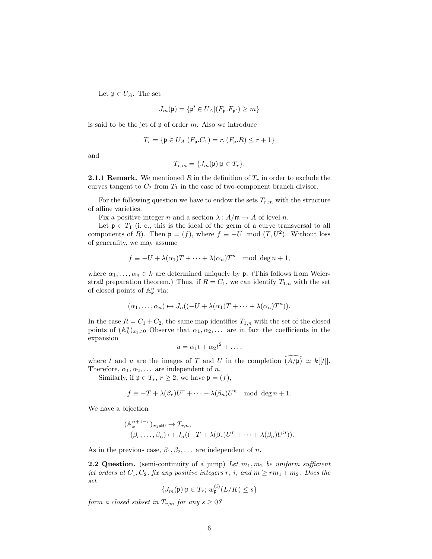Let  $\mathfrak{p} \in U_A$ . The set

$$
J_m(\mathfrak{p})=\{\mathfrak{p}'\in U_A | (F_{\mathfrak{p}}.F_{\mathfrak{p}'})\geq m\}
$$

is said to be the jet of  $\mathfrak p$  of order m. Also we introduce

$$
T_r = \{ \mathfrak{p} \in U_A | (F_{\mathfrak{p}}.C_1) = r, (F_{\mathfrak{p}}.R) \le r + 1 \}
$$

and

$$
T_{r,m}=\{J_m(\mathfrak{p})|\mathfrak{p}\in T_r\}.
$$

**2.1.1 Remark.** We mentioned R in the definition of  $T_r$  in order to exclude the curves tangent to  $C_2$  from  $T_1$  in the case of two-component branch divisor.

For the following question we have to endow the sets  $T_{r,m}$  with the structure of affine varieties.

Fix a positive integer n and a section  $\lambda : A/\mathfrak{m} \to A$  of level n.

Let  $\mathfrak{p} \in T_1$  (i. e., this is the ideal of the germ of a curve transversal to all components of R). Then  $\mathfrak{p} = (f)$ , where  $f \equiv -U \mod (T, U^2)$ . Without loss of generality, we may assume

$$
f \equiv -U + \lambda(\alpha_1)T + \cdots + \lambda(\alpha_n)T^n \mod \deg n + 1,
$$

where  $\alpha_1, \ldots, \alpha_n \in k$  are determined uniquely by p. (This follows from Weierstraß preparation theorem.) Thus, if  $R = C_1$ , we can identify  $T_{1,n}$  with the set of closed points of  $\mathbb{A}_k^n$  via:

$$
(\alpha_1,\ldots,\alpha_n)\mapsto J_n((-U+\lambda(\alpha_1)T+\cdots+\lambda(\alpha_n)T^n)).
$$

In the case  $R = C_1 + C_2$ , the same map identifies  $T_{1,n}$  with the set of the closed points of  $(\mathbb{A}_k^n)_{x_1\neq 0}$  Observe that  $\alpha_1, \alpha_2, \ldots$  are in fact the coefficients in the expansion

$$
u = \alpha_1 t + \alpha_2 t^2 + \dots,
$$

where t and u are the images of T and U in the completion  $(A/\mathfrak{p}) \simeq k[[t]]$ . Therefore,  $\alpha_1, \alpha_2, \ldots$  are independent of n.

Similarly, if  $\mathfrak{p} \in T_r$ ,  $r \geq 2$ , we have  $\mathfrak{p} = (f)$ ,

$$
f \equiv -T + \lambda(\beta_r)U^r + \cdots + \lambda(\beta_n)U^n \mod \deg n + 1.
$$

We have a bijection

$$
\begin{aligned} (\mathbb{A}_k^{n+1-r})_{x_1\neq 0} &\to T_{r,n}, \\ (\beta_r, \dots, \beta_n) &\mapsto J_n((-T+\lambda(\beta_r)U^r + \dots + \lambda(\beta_n)U^n)). \end{aligned}
$$

As in the previous case,  $\beta_1, \beta_2, \ldots$  are independent of *n*.

**2.2 Question.** (semi-continuity of a jump) Let  $m_1, m_2$  be uniform sufficient jet orders at  $C_1, C_2$ , fix any positive integers r, i, and  $m \geq rm_1 + m_2$ . Does the set

$$
\{J_m(\mathfrak{p})|\mathfrak{p}\in T_r;\,w_{\mathfrak{p}}^{(i)}(L/K)\leq s\}
$$

form a closed subset in  $T_{r,m}$  for any  $s \geq 0$ ?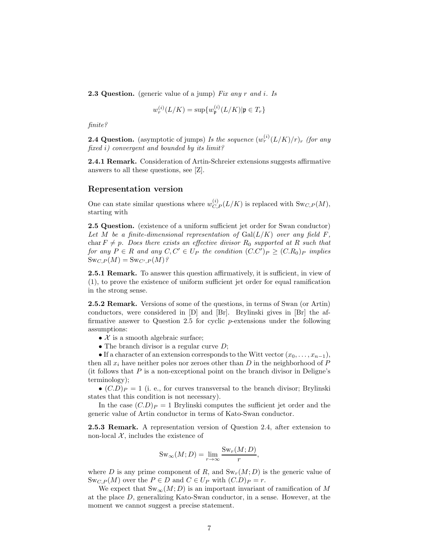**2.3 Question.** (generic value of a jump) Fix any r and i. Is

$$
w_r^{(i)}(L/K) = \sup \{ w_{\mathfrak{p}}^{(i)}(L/K) | \mathfrak{p} \in T_r \}
$$

finite?

**2.4 Question.** (asymptotic of jumps) Is the sequence  $(w_r^{(i)}(L/K)/r)_r$  (for any fixed i) convergent and bounded by its limit?

2.4.1 Remark. Consideration of Artin-Schreier extensions suggests affirmative answers to all these questions, see [Z].

## Representation version

One can state similar questions where  $w_{C,P}^{(i)}(L/K)$  is replaced with  $\text{Sw}_{C,P}(M)$ , starting with

2.5 Question. (existence of a uniform sufficient jet order for Swan conductor) Let M be a finite-dimensional representation of  $Gal(L/K)$  over any field F, char  $F \neq p$ . Does there exists an effective divisor  $R_0$  supported at R such that for any  $P \in R$  and any  $C, C' \in U_P$  the condition  $(C.C')_P \geq (C.R_0)_P$  implies  $\mathrm{Sw}_{C,P}(M) = \mathrm{Sw}_{C',P}(M)$  ?

**2.5.1 Remark.** To answer this question affirmatively, it is sufficient, in view of (1), to prove the existence of uniform sufficient jet order for equal ramification in the strong sense.

2.5.2 Remark. Versions of some of the questions, in terms of Swan (or Artin) conductors, were considered in  $|D|$  and  $|Br|$ . Brylinski gives in  $|Br|$  the affirmative answer to Question 2.5 for cyclic p-extensions under the following assumptions:

- $X$  is a smooth algebraic surface;
- The branch divisor is a regular curve  $D$ ;

• If a character of an extension corresponds to the Witt vector  $(x_0, \ldots, x_{n-1})$ , then all  $x_i$  have neither poles nor zeroes other than D in the neighborhood of P (it follows that  $P$  is a non-exceptional point on the branch divisor in Deligne's terminology);

•  $(C.D)_P = 1$  (i. e., for curves transversal to the branch divisor; Brylinski states that this condition is not necessary).

In the case  $(C.D)_P = 1$  Brylinski computes the sufficient jet order and the generic value of Artin conductor in terms of Kato-Swan conductor.

2.5.3 Remark. A representation version of Question 2.4, after extension to non-local  $X$ , includes the existence of

$$
Sw_{\infty}(M; D) = \lim_{r \to \infty} \frac{Sw_r(M; D)}{r},
$$

where D is any prime component of R, and  $\text{Sw}_r(M; D)$  is the generic value of  $\text{Sw}_{C,P}(M)$  over the  $P \in D$  and  $C \in U_P$  with  $(C.D)_P = r$ .

We expect that  $\text{Sw}_{\infty}(M; D)$  is an important invariant of ramification of M at the place D, generalizing Kato-Swan conductor, in a sense. However, at the moment we cannot suggest a precise statement.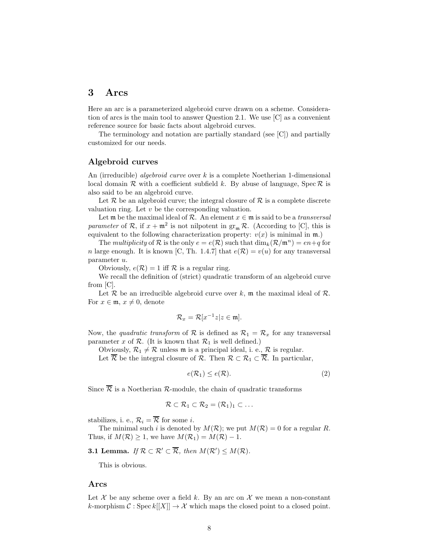## 3 Arcs

Here an arc is a parameterized algebroid curve drawn on a scheme. Consideration of arcs is the main tool to answer Question 2.1. We use [C] as a convenient reference source for basic facts about algebroid curves.

The terminology and notation are partially standard (see [C]) and partially customized for our needs.

## Algebroid curves

An (irreducible) *algebroid curve* over  $k$  is a complete Noetherian 1-dimensional local domain R with a coefficient subfield k. By abuse of language, Spec R is also said to be an algebroid curve.

Let  $\mathcal R$  be an algebroid curve; the integral closure of  $\mathcal R$  is a complete discrete valuation ring. Let  $v$  be the corresponding valuation.

Let m be the maximal ideal of  $\mathcal{R}$ . An element  $x \in \mathfrak{m}$  is said to be a *transversal* parameter of  $\mathcal{R}$ , if  $x + \mathfrak{m}^2$  is not nilpotent in  $\text{gr}_{\mathfrak{m}} \mathcal{R}$ . (According to [C], this is equivalent to the following characterization property:  $v(x)$  is minimal in m.)

The multiplicity of R is the only  $e = e(\mathcal{R})$  such that  $\dim_k(\mathcal{R}/\mathfrak{m}^n) = en + q$  for n large enough. It is known [C, Th. 1.4.7] that  $e(\mathcal{R}) = v(u)$  for any transversal parameter u.

Obviously,  $e(\mathcal{R}) = 1$  iff  $\mathcal R$  is a regular ring.

We recall the definition of (strict) quadratic transform of an algebroid curve from [C].

Let R be an irreducible algebroid curve over k,  $\mathfrak{m}$  the maximal ideal of R. For  $x \in \mathfrak{m}$ ,  $x \neq 0$ , denote

$$
\mathcal{R}_x=\mathcal{R}[x^{-1}z|z\in\mathfrak{m}].
$$

Now, the *quadratic transform* of R is defined as  $\mathcal{R}_1 = \mathcal{R}_x$  for any transversal parameter x of  $\mathcal R$ . (It is known that  $\mathcal R_1$  is well defined.)

Obviously,  $\mathcal{R}_1 \neq \mathcal{R}$  unless  $\mathfrak{m}$  is a principal ideal, i. e.,  $\mathcal{R}$  is regular.

Let  $\overline{\mathcal{R}}$  be the integral closure of  $\mathcal{R}$ . Then  $\mathcal{R} \subset \mathcal{R}_1 \subset \overline{\mathcal{R}}$ . In particular,

$$
e(\mathcal{R}_1) \le e(\mathcal{R}).\tag{2}
$$

Since  $\overline{\mathcal{R}}$  is a Noetherian  $\mathcal{R}$ -module, the chain of quadratic transforms

$$
\mathcal{R} \subset \mathcal{R}_1 \subset \mathcal{R}_2 = (\mathcal{R}_1)_1 \subset \ldots
$$

stabilizes, i. e.,  $\mathcal{R}_i = \overline{\mathcal{R}}$  for some *i*.

The minimal such i is denoted by  $M(\mathcal{R})$ ; we put  $M(\mathcal{R}) = 0$  for a regular R. Thus, if  $M(\mathcal{R}) \geq 1$ , we have  $M(\mathcal{R}_1) = M(\mathcal{R}) - 1$ .

**3.1 Lemma.** If  $\mathcal{R} \subset \mathcal{R}' \subset \overline{\mathcal{R}}$ , then  $M(\mathcal{R}') \leq M(\mathcal{R})$ .

This is obvious.

## Arcs

Let  $\mathcal X$  be any scheme over a field k. By an arc on  $\mathcal X$  we mean a non-constant k-morphism  $\mathcal{C}: \mathrm{Spec} k[[X]] \to \mathcal{X}$  which maps the closed point to a closed point.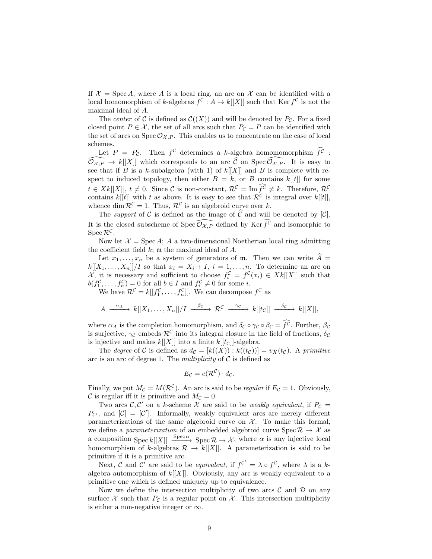If  $\mathcal{X} = \text{Spec } A$ , where A is a local ring, an arc on X can be identified with a local homomorphism of k-algebras  $f^{\mathcal{C}}: A \to k[[X]]$  such that Ker  $f^{\mathcal{C}}$  is not the maximal ideal of A.

The center of C is defined as  $\mathcal{C}((X))$  and will be denoted by  $P_{\mathcal{C}}$ . For a fixed closed point  $P \in \mathcal{X}$ , the set of all arcs such that  $P_{\mathcal{C}} = P$  can be identified with the set of arcs on  $Spec \mathcal{O}_{\mathcal{X},P}$ . This enables us to concentrate on the case of local schemes.

Let  $P = P_c$ . Then  $f^c$  determines a k-algebra homomomorphism  $\widehat{f^c}$ : Let  $P = P_c$ . Then  $f^c$  determines a k-algebra homomomorphism  $f^c$ :<br> $\widehat{\mathcal{O}_{\mathcal{X},P}} \to k[[X]]$  which corresponds to an arc  $\widehat{C}$  on Spec  $\widehat{\mathcal{O}_{\mathcal{X},P}}$ . It is easy to see that if B is a k-subalgebra (with 1) of  $k[[X]]$  and B is complete with respect to induced topology, then either  $B = k$ , or B contains  $k[[t]]$  for some  $t \in Xk[[X]], t \neq 0$ . Since C is non-constant,  $\mathcal{R}^{\mathcal{C}} = \text{Im} \widehat{f^{\mathcal{C}}} \neq k$ . Therefore,  $\mathcal{R}^{\mathcal{C}}$ contains  $k[[t]]$  with t as above. It is easy to see that  $\mathcal{R}^{\mathcal{C}}$  is integral over  $k[[t]]$ , whence dim  $\mathcal{R}^{\mathcal{C}} = 1$ . Thus,  $\mathcal{R}^{\mathcal{C}}$  is an algebroid curve over k.

The *support* of C is defined as the image of  $\hat{C}$  and will be denoted by  $[C]$ . It is the closed subscheme of  $\widehat{Spec\mathcal{O}_{\mathcal{X},P}}$  defined by Ker  $\widehat{f}^{\mathcal{C}}$  and isomorphic to  $\operatorname{Spec} {\mathcal R}^{\mathcal C}.$ 

Now let  $\mathcal{X} = \operatorname{Spec} A$ ; A a two-dimensional Noetherian local ring admitting the coefficient field  $k$ ;  $m$  the maximal ideal of  $A$ .

Let  $x_1, \ldots, x_n$  be a system of generators of m. Then we can write  $\widehat{A} =$  $k[[X_1,\ldots,X_n]]/I$  so that  $x_i = X_i + I$ ,  $i = 1,\ldots,n$ . To determine an arc on X, it is necessary and sufficient to choose  $f_i^{\mathcal{C}} = f^{\mathcal{C}}(x_i) \in Xk[[X]]$  such that  $b(f_1^{\mathcal{C}}, \ldots, f_n^{\mathcal{C}}) = 0$  for all  $b \in I$  and  $f_i^{\mathcal{C}} \neq 0$  for some *i*.

We have  $\mathcal{R}^{\mathcal{C}} = k[[f_1^{\mathcal{C}}, \dots, f_n^{\mathcal{C}}]].$  We can decompose  $f^{\mathcal{C}}$  as

$$
A \xrightarrow{\alpha_A} k[[X_1,\ldots,X_n]]/I \xrightarrow{\beta_c} \mathcal{R}^c \xrightarrow{\gamma_c} k[[t_c]] \xrightarrow{\delta_c} k[[X]],
$$

where  $\alpha_A$  is the completion homomorphism, and  $\delta_c \circ \gamma_c \circ \beta_c = \widehat{f}^c$ . Further,  $\beta_c$ is surjective,  $\gamma_c$  embeds  $\mathcal{R}^c$  into its integral closure in the field of fractions,  $\delta_c$ is injective and makes  $k[[X]]$  into a finite  $k[[t_C]]$ -algebra.

The degree of C is defined as  $d_{\mathcal{C}} = [k((X)) : k((t_{\mathcal{C}}))] = v_X(t_{\mathcal{C}})$ . A primitive arc is an arc of degree 1. The multiplicity of  $\mathcal C$  is defined as

$$
E_{\mathcal{C}}=e(\mathcal{R}^{\mathcal{C}})\cdot d_{\mathcal{C}}.
$$

Finally, we put  $M_c = M(\mathcal{R}^c)$ . An arc is said to be *regular* if  $E_c = 1$ . Obviously, C is regular iff it is primitive and  $M_{\mathcal{C}} = 0$ .

Two arcs  $C, C'$  on a k-scheme X are said to be *weakly equivalent*, if  $P_C =$  $P_{\mathcal{C}}$ , and  $[\mathcal{C}] = [\mathcal{C}']$ . Informally, weakly equivalent arcs are merely different parameterizations of the same algebroid curve on  $X$ . To make this formal, we define a *parameterization* of an embedded algebroid curve  $Spec R \rightarrow X$  as a composition  $Spec k[[X]] \xrightarrow{Spec \alpha} Spec \mathcal{R} \to \mathcal{X}$ , where  $\alpha$  is any injective local homomorphism of k-algebras  $\mathcal{R} \to k[[X]]$ . A parameterization is said to be primitive if it is a primitive arc.

Next, C and C' are said to be *equivalent*, if  $f^{c'} = \lambda \circ f^c$ , where  $\lambda$  is a kalgebra automorphism of  $k[[X]]$ . Obviously, any arc is weakly equivalent to a primitive one which is defined uniquely up to equivalence.

Now we define the intersection multiplicity of two arcs  $\mathcal C$  and  $\mathcal D$  on any surface  $\mathcal X$  such that  $P_{\mathcal C}$  is a regular point on  $\mathcal X$ . This intersection multiplicity is either a non-negative integer or  $\infty$ .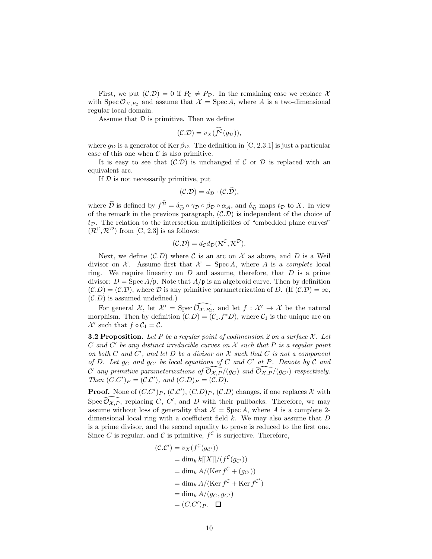First, we put  $(C.D) = 0$  if  $P_{\mathcal{C}} \neq P_{\mathcal{D}}$ . In the remaining case we replace X with Spec  $\mathcal{O}_{\mathcal{X},P_c}$  and assume that  $\mathcal{X} = \text{Spec } A$ , where A is a two-dimensional regular local domain.

Assume that  $\mathcal D$  is primitive. Then we define

$$
(\mathcal{C}.\mathcal{D})=v_X(\overline{f}^{\overline{\mathcal{C}}}(g_{\mathcal{D}})),
$$

where  $g_{\mathcal{D}}$  is a generator of Ker  $\beta_{\mathcal{D}}$ . The definition in [C, 2.3.1] is just a particular case of this one when  $\mathcal C$  is also primitive.

It is easy to see that  $(C.\mathcal{D})$  is unchanged if C or D is replaced with an equivalent arc.

If  $D$  is not necessarily primitive, put

$$
(\mathcal{C}.\mathcal{D})=d_{\mathcal{D}}\cdot(\mathcal{C}.\mathcal{D}),
$$

where  $\mathcal{D}$  is defined by  $f^{\mathcal{D}} = \delta_{\tilde{\mathcal{D}}} \circ \gamma_{\mathcal{D}} \circ \beta_{\mathcal{D}} \circ \alpha_A$ , and  $\delta_{\tilde{\mathcal{D}}}$  maps  $t_{\mathcal{D}}$  to X. In view of the remark in the previous paragraph,  $(C.D)$  is independent of the choice of  $t_{\mathcal{D}}$ . The relation to the intersection multiplicities of "embedded plane curves"  $(\mathcal{R}^{\mathcal{C}}, \mathcal{R}^{\mathcal{D}})$  from [C, 2.3] is as follows:

$$
(\mathcal{C}.\mathcal{D}) = d_{\mathcal{C}}d_{\mathcal{D}}(\mathcal{R}^{\mathcal{C}}, \mathcal{R}^{\mathcal{D}}).
$$

Next, we define  $(C.D)$  where C is an arc on X as above, and D is a Weil divisor on X. Assume first that  $\mathcal{X} = \text{Spec } A$ , where A is a complete local ring. We require linearity on  $D$  and assume, therefore, that  $D$  is a prime divisor:  $D = \text{Spec } A/\mathfrak{p}$ . Note that  $A/\mathfrak{p}$  is an algebroid curve. Then by definition  $(C.D) = (C.D)$ , where D is any primitive parameterization of D. (If  $(C.D) = \infty$ ,  $(C.D)$  is assumed undefined.)

For general X, let  $\mathcal{X}' = \text{Spec } \widehat{\mathcal{O}_{\mathcal{X},P_{\mathcal{C}}}}$ , and let  $f : \mathcal{X}' \to \mathcal{X}$  be the natural morphism. Then by definition  $(C.D) = (C_1.f*D)$ , where  $C_1$  is the unique arc on  $\mathcal{X}'$  such that  $f \circ \mathcal{C}_1 = \mathcal{C}$ .

**3.2 Proposition.** Let P be a regular point of codimension 2 on a surface  $\mathcal{X}$ . Let  $C$  and  $C'$  be any distinct irreducible curves on  $\mathcal X$  such that  $P$  is a regular point on both  $C$  and  $C'$ , and let  $D$  be a divisor on  $\mathcal X$  such that  $C$  is not a component of D. Let  $g_C$  and  $g_{C'}$  be local equations of C and C' at P. Denote by C and  $\mathcal{C}'$  any primitive parameterizations of  $\widehat{\mathcal{O}_{\mathcal{X},P}}/(g_C)$  and  $\widehat{\mathcal{O}_{\mathcal{X},P}}/(g_{C'})$  respectively. Then  $(C.C')_P = (C.C')$ , and  $(C.D)_P = (C.D)$ .

**Proof.** None of  $(C.C')_P$ ,  $(C.C')$ ,  $(C.D)_P$ ,  $(C.D)$  changes, if one replaces X with Spec  $\widehat{\mathcal{O}_{\mathcal{X},P}}$ , replacing C, C', and D with their pullbacks. Therefore, we may assume without loss of generality that  $\mathcal{X} = \text{Spec } A$ , where A is a complete 2dimensional local ring with a coefficient field  $k$ . We may also assume that  $D$ is a prime divisor, and the second equality to prove is reduced to the first one. Since C is regular, and C is primitive,  $f^{\mathcal{C}}$  is surjective. Therefore,

$$
(\mathcal{C}.\mathcal{C}') = v_X(f^{\mathcal{C}}(g_{\mathcal{C}'}))
$$
  
= dim<sub>k</sub> k[[X]]/(f^{\mathcal{C}}(g\_{\mathcal{C}'}))  
= dim<sub>k</sub> A/(Ker f^{\mathcal{C}} + (g\_{\mathcal{C}'}))  
= dim<sub>k</sub> A/(Ker f^{\mathcal{C}} + Ker f^{\mathcal{C}'})  
= dim<sub>k</sub> A/(g\_{\mathcal{C}}, g\_{\mathcal{C}'})  
= (C.C')<sub>P</sub>. \square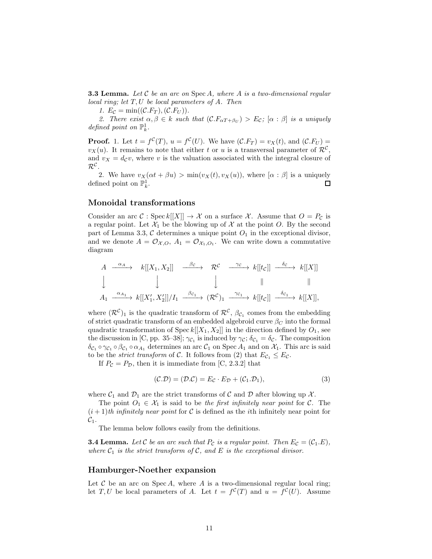**3.3 Lemma.** Let  $C$  be an arc on Spec A, where A is a two-dimensional regular local ring; let T, U be local parameters of A. Then

1.  $E_{\mathcal{C}} = \min((\mathcal{C}.F_T),(\mathcal{C}.F_U))$ .

2. There exist  $\alpha, \beta \in k$  such that  $(C.F_{\alpha T + \beta U}) > E_{\mathcal{C}}$ ;  $[\alpha : \beta]$  is a uniquely defined point on  $\mathbb{P}^1_k$ .

**Proof.** 1. Let  $t = f^{\mathcal{C}}(T)$ ,  $u = f^{\mathcal{C}}(U)$ . We have  $(\mathcal{C}.F_T) = v_X(t)$ , and  $(\mathcal{C}.F_U) =$  $v_X(u)$ . It remains to note that either t or u is a transversal parameter of  $\mathcal{R}^{\mathcal{C}}$ , and  $v_X = d_{\mathcal{C}}v$ , where v is the valuation associated with the integral closure of  $\mathcal{R}^{\mathcal{C}}$ .

2. We have  $v_X(\alpha t + \beta u) > \min(v_X(t), v_X(u))$ , where  $[\alpha : \beta]$  is a uniquely defined point on  $\mathbb{P}_k^1$ . □

#### Monoidal transformations

Consider an arc C : Spec  $k[[X]] \to \mathcal{X}$  on a surface  $\mathcal{X}$ . Assume that  $O = P_{\mathcal{C}}$  is a regular point. Let  $\mathcal{X}_1$  be the blowing up of  $\mathcal X$  at the point O. By the second part of Lemma 3.3,  $\mathcal C$  determines a unique point  $O_1$  in the exceptional divisor, and we denote  $A = \mathcal{O}_{\mathcal{X},O}$ ,  $A_1 = \mathcal{O}_{\mathcal{X}_1,O_1}$ . We can write down a commutative diagram

$$
A \xrightarrow{\alpha_A} k[[X_1, X_2]] \xrightarrow{\beta_C} \mathcal{R}^C \xrightarrow{\gamma_C} k[[t_C]] \xrightarrow{\delta_C} k[[X]]
$$
  

$$
\downarrow \qquad \qquad \downarrow \qquad \qquad \downarrow \qquad \qquad \parallel \qquad \qquad \parallel
$$
  

$$
A_1 \xrightarrow{\alpha_{A_1}} k[[X'_1, X'_2]]/I_1 \xrightarrow{\beta_{C_1}} (\mathcal{R}^C)_1 \xrightarrow{\gamma_{C_1}} k[[t_C]] \xrightarrow{\delta_{C_1}} k[[X]],
$$

where  $(\mathcal{R}^{\mathcal{C}})_1$  is the quadratic transform of  $\mathcal{R}^{\mathcal{C}}$ ,  $\beta_{\mathcal{C}_1}$  comes from the embedding of strict quadratic transform of an embedded algebroid curve  $\beta_C$  into the formal quadratic transformation of Spec  $k[[X_1, X_2]]$  in the direction defined by  $O_1$ , see the discussion in [C, pp. 35–38];  $\gamma_{\mathcal{C}_1}$  is induced by  $\gamma_{\mathcal{C}}$ ;  $\delta_{\mathcal{C}_1} = \delta_{\mathcal{C}}$ . The composition  $\delta_{\mathcal{C}_1} \circ \gamma_{\mathcal{C}_1} \circ \beta_{\mathcal{C}_1} \circ \alpha_{A_1}$  determines an arc  $\mathcal{C}_1$  on Spec  $A_1$  and on  $\mathcal{X}_1$ . This arc is said to be the *strict transform* of C. It follows from (2) that  $E_{C_1} \leq E_C$ .

If  $P_{\mathcal{C}} = P_{\mathcal{D}}$ , then it is immediate from [C, 2.3.2] that

$$
(\mathcal{C}.\mathcal{D}) = (\mathcal{D}.\mathcal{C}) = E_{\mathcal{C}} \cdot E_{\mathcal{D}} + (\mathcal{C}_1.\mathcal{D}_1),
$$
\n(3)

where  $C_1$  and  $D_1$  are the strict transforms of C and D after blowing up X.

The point  $O_1 \in \mathcal{X}_1$  is said to be the first infinitely near point for C. The  $(i+1)$ th infinitely near point for C is defined as the *i*th infinitely near point for  $\mathcal{C}_1$ .

The lemma below follows easily from the definitions.

**3.4 Lemma.** Let C be an arc such that  $P_c$  is a regular point. Then  $E_c = (C_1.E)$ , where  $C_1$  is the strict transform of  $C$ , and  $E$  is the exceptional divisor.

## Hamburger-Noether expansion

Let  $\mathcal C$  be an arc on Spec A, where A is a two-dimensional regular local ring; let T, U be local parameters of A. Let  $t = f^{\mathcal{C}}(T)$  and  $u = f^{\mathcal{C}}(U)$ . Assume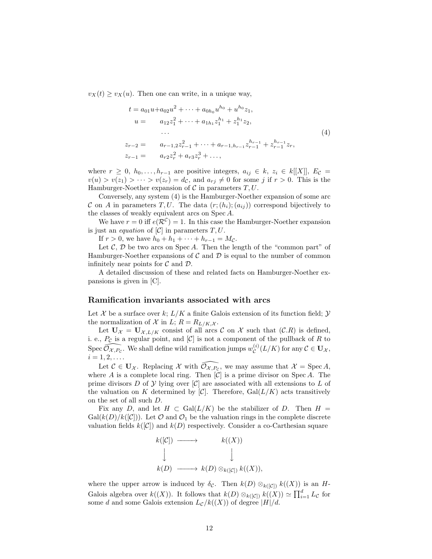$v_X(t) \ge v_X(u)$ . Then one can write, in a unique way,

$$
t = a_{01}u + a_{02}u^{2} + \dots + a_{0h_{0}}u^{h_{0}} + u^{h_{0}}z_{1},
$$
  
\n
$$
u = a_{12}z_{1}^{2} + \dots + a_{1h_{1}}z_{1}^{h_{1}} + z_{1}^{h_{1}}z_{2},
$$
  
\n...  
\n
$$
z_{r-2} = a_{r-1,2}z_{r-1}^{2} + \dots + a_{r-1,h_{r-1}}z_{r-1}^{h_{r-1}} + z_{r-1}^{h_{r-1}}z_{r},
$$
  
\n
$$
z_{r-1} = a_{r2}z_{r}^{2} + a_{r3}z_{r}^{3} + \dots,
$$
  
\n(4)

where  $r \geq 0$ ,  $h_0, \ldots, h_{r-1}$  are positive integers,  $a_{ij} \in k$ ,  $z_i \in k[[X]]$ ,  $E_c =$  $v(u) > v(z_1) > \cdots > v(z_r) = d_{\mathcal{C}}$ , and  $a_{rj} \neq 0$  for some j if  $r > 0$ . This is the Hamburger-Noether expansion of  $\mathcal C$  in parameters  $T, U$ .

Conversely, any system (4) is the Hamburger-Noether expansion of some arc C on A in parameters T, U. The data  $(r; (h_i); (a_{ij}))$  correspond bijectively to the classes of weakly equivalent arcs on Spec A.

We have  $r = 0$  iff  $e(\mathcal{R}^{\mathcal{C}}) = 1$ . In this case the Hamburger-Noether expansion is just an *equation* of  $[\mathcal{C}]$  in parameters  $T, U$ .

If  $r > 0$ , we have  $h_0 + h_1 + \cdots + h_{r-1} = M_c$ .

Let  $\mathcal{C}, \mathcal{D}$  be two arcs on Spec A. Then the length of the "common part" of Hamburger-Noether expansions of  $\mathcal C$  and  $\mathcal D$  is equal to the number of common infinitely near points for  $\mathcal C$  and  $\mathcal D$ .

A detailed discussion of these and related facts on Hamburger-Noether expansions is given in [C].

#### Ramification invariants associated with arcs

Let X be a surface over k;  $L/K$  a finite Galois extension of its function field;  $\mathcal Y$ the normalization of X in L;  $R = R_{L/K, \mathcal{X}}$ .

Let  $U_{\mathcal{X}} = U_{\mathcal{X}, L/K}$  consist of all arcs  $\mathcal C$  on  $\mathcal X$  such that  $(\mathcal C.R)$  is defined, i. e.,  $P_{\mathcal{C}}$  is a regular point, and  $|\mathcal{C}|$  is not a component of the pullback of R to Spec  $\widehat{\mathcal{O}_{\mathcal{X}, P_{\mathcal{C}}}}$ . We shall define wild ramification jumps  $w_{\mathcal{C}}^{(i)}$  $\mathcal{C}^{(i)}(L/K)$  for any  $\mathcal{C} \in \mathbf{U}_{\mathcal{X}},$  $i = 1, 2, \ldots$ .

Let  $C \in U_{\mathcal{X}}$ . Replacing  $\mathcal{X}$  with  $\widehat{\mathcal{O}_{\mathcal{X},P_{C}}}$ , we may assume that  $\mathcal{X} = \text{Spec } A$ , where A is a complete local ring. Then  $[\mathcal{C}]$  is a prime divisor on Spec A. The prime divisors  $D$  of  $Y$  lying over  $|C|$  are associated with all extensions to  $L$  of the valuation on K determined by  $[\mathcal{C}]$ . Therefore,  $Gal(L/K)$  acts transitively on the set of all such D.

Fix any D, and let  $H \subset \text{Gal}(L/K)$  be the stabilizer of D. Then  $H =$  $Gal(k(D)/k(C)))$ . Let  $\mathcal O$  and  $\mathcal O_1$  be the valuation rings in the complete discrete valuation fields  $k(\mathcal{C})$  and  $k(D)$  respectively. Consider a co-Carthesian square

$$
k([C]) \longrightarrow k((X))
$$
  
\n
$$
\downarrow \qquad \qquad \downarrow
$$
  
\n
$$
k(D) \longrightarrow k(D) \otimes_{k([C])} k((X)),
$$

where the upper arrow is induced by  $\delta_{\mathcal{C}}$ . Then  $k(D) \otimes_{k([C])} k((X))$  is an H-Galois algebra over  $k((X))$ . It follows that  $k(D) \otimes_{k([C])} k((X)) \simeq \prod_{i=1}^d L_{\mathcal{C}}$  for some d and some Galois extension  $L_c/k((X))$  of degree  $|H|/d$ .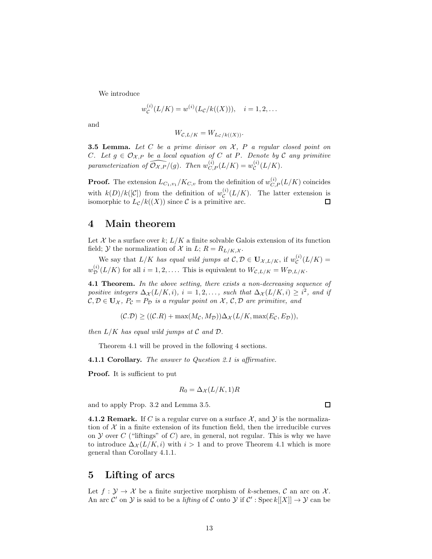We introduce

$$
w_{\mathcal{C}}^{(i)}(L/K) = w^{(i)}(L_{\mathcal{C}}/k((X))), \quad i = 1, 2, ...
$$

and

$$
W_{\mathcal{C},L/K} = W_{L_{\mathcal{C}}/k((X))}.
$$

**3.5 Lemma.** Let C be a prime divisor on  $\mathcal{X}$ , P a regular closed point on C. Let  $g \in \mathcal{O}_{\mathcal{X},P}$  be a local equation of C at P. Denote by C any primitive parameterization of  $\widehat{\mathcal{O}_{\mathcal{X},P}}/(g)$ . Then  $w_{C,P}^{(i)}(L/K) = w_{\mathcal{C}}^{(i)}$  $\mathcal{C}^{(i)}(L/K).$ 

**Proof.** The extension  $L_{C_1, v_1}/K_{C,v}$  from the definition of  $w_{C,P}^{(i)}(L/K)$  coincides with  $k(D)/k([\mathcal{C}])$  from the definition of  $w_{\mathcal{C}}^{(i)}$  $\mathcal{C}^{(i)}(L/K)$ . The latter extension is isomorphic to  $L_{\mathcal{C}}/k((X))$  since  $\mathcal C$  is a primitive arc.  $\Box$ 

## 4 Main theorem

Let  $\mathcal X$  be a surface over k;  $L/K$  a finite solvable Galois extension of its function field; Y the normalization of X in L;  $R = R_{L/K, \mathcal{X}}$ .

We say that  $L/K$  has equal wild jumps at  $\mathcal{C}, \mathcal{D} \in \mathbf{U}_{\mathcal{X}, L/K}$ , if  $w_{\mathcal{C}}^{(i)}$  $\mathcal{C}^{(i)}(L/K) =$  $w_{\mathcal{D}}^{(i)}(L/K)$  for all  $i = 1, 2, \ldots$ . This is equivalent to  $W_{\mathcal{C},L/K} = W_{\mathcal{D},L/K}$ .

4.1 Theorem. In the above setting, there exists a non-decreasing sequence of positive integers  $\Delta_{\mathcal{X}}(L/K,i)$ ,  $i = 1, 2, ...,$  such that  $\Delta_{\mathcal{X}}(L/K,i) \geq i^2$ , and if  $\mathcal{C}, \mathcal{D} \in \mathbf{U}_{\mathcal{X}}, P_{\mathcal{C}} = P_{\mathcal{D}}$  is a regular point on X,  $\mathcal{C}, \mathcal{D}$  are primitive, and

$$
(\mathcal{C}.\mathcal{D}) \ge ((\mathcal{C}.\mathcal{R}) + \max(M_{\mathcal{C}}, M_{\mathcal{D}})) \Delta_{\mathcal{X}} (L/K, \max(E_{\mathcal{C}}, E_{\mathcal{D}})),
$$

then  $L/K$  has equal wild jumps at  $\mathcal C$  and  $\mathcal D$ .

Theorem 4.1 will be proved in the following 4 sections.

4.1.1 Corollary. The answer to Question 2.1 is affirmative.

Proof. It is sufficient to put

$$
R_0 = \Delta_{\mathcal{X}}(L/K, 1)R
$$

and to apply Prop. 3.2 and Lemma 3.5.

**4.1.2 Remark.** If C is a regular curve on a surface  $\mathcal{X}$ , and  $\mathcal{Y}$  is the normalization of  $X$  in a finite extension of its function field, then the irreducible curves on  $Y$  over C ("liftings" of C) are, in general, not regular. This is why we have to introduce  $\Delta_{\mathcal{X}}(L/K, i)$  with  $i > 1$  and to prove Theorem 4.1 which is more general than Corollary 4.1.1.

# 5 Lifting of arcs

Let  $f: \mathcal{Y} \to \mathcal{X}$  be a finite surjective morphism of k-schemes,  $\mathcal{C}$  an arc on  $\mathcal{X}$ . An arc  $\mathcal{C}'$  on  $\mathcal{Y}$  is said to be a *lifting* of  $\mathcal{C}$  onto  $\mathcal{Y}$  if  $\mathcal{C}'$  : Spec  $k[[X]] \to \mathcal{Y}$  can be

 $\Box$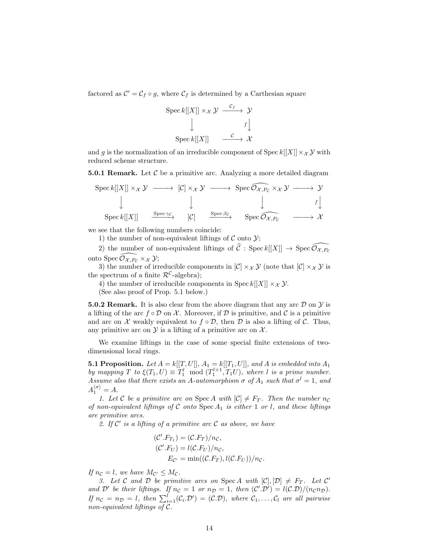factored as  $C' = C_f \circ g$ , where  $C_f$  is determined by a Carthesian square

$$
\operatorname{Spec} k[[X]] \times x \mathcal{Y} \xrightarrow{\mathcal{C}_f} \mathcal{Y}
$$

$$
\downarrow \qquad \qquad f \downarrow
$$

$$
\operatorname{Spec} k[[X]] \xrightarrow{\mathcal{C}} \mathcal{X}
$$

and g is the normalization of an irreducible component of Spec  $k[[X]] \times_{\mathcal{X}} \mathcal{Y}$  with reduced scheme structure.

**5.0.1 Remark.** Let  $\mathcal{C}$  be a primitive arc. Analyzing a more detailed diagram

$$
\operatorname{Spec} k[[X]] \times_{\mathcal{X}} \mathcal{Y} \longrightarrow [C] \times_{\mathcal{X}} \mathcal{Y} \longrightarrow \operatorname{Spec} \widehat{\mathcal{O}_{\mathcal{X}, P_{\mathcal{C}}}} \times_{\mathcal{X}} \mathcal{Y} \longrightarrow \mathcal{Y}
$$
\n
$$
\downarrow \qquad \qquad \downarrow \qquad \qquad \downarrow \qquad \qquad \downarrow \qquad \qquad \downarrow
$$
\n
$$
\operatorname{Spec} k[[X]] \qquad \xrightarrow{\operatorname{Spec} \gamma_{\mathcal{C}}} \qquad [C] \qquad \xrightarrow{\operatorname{Spec} \beta_{\mathcal{C}}} \qquad \operatorname{Spec} \widehat{\mathcal{O}_{\mathcal{X}, P_{\mathcal{C}}}} \qquad \longrightarrow \mathcal{X}
$$

we see that the following numbers coincide:

1) the number of non-equivalent liftings of  $\mathcal C$  onto  $\mathcal Y$ ;

2) the number of non-equivalent liftings of  $\hat{C}$  : Spec  $k[[X]] \to \text{Spec } \widehat{\mathcal{O}_{\mathcal{X},P_{C}}}$ onto Spec  $\overline{\mathcal{O}_{\mathcal{X},P_{\mathcal{C}}}} \times_{\mathcal{X}} \mathcal{Y};$ 

3) the number of irreducible components in  $[\mathcal{C}] \times \mathcal{X} \mathcal{Y}$  (note that  $[\mathcal{C}] \times \mathcal{X} \mathcal{Y}$  is the spectrum of a finite  $\mathcal{R}^{\mathcal{C}}$ -algebra);

4) the number of irreducible components in Spec  $k[[X]] \times_{\mathcal{X}} \mathcal{Y}$ .

(See also proof of Prop. 5.1 below.)

**5.0.2 Remark.** It is also clear from the above diagram that any arc  $\mathcal{D}$  on  $\mathcal{Y}$  is a lifting of the arc  $f \circ \mathcal{D}$  on X. Moreover, if  $\mathcal D$  is primitive, and C is a primitive and arc on X weakly equivalent to  $f \circ \mathcal{D}$ , then  $\mathcal D$  is also a lifting of C. Thus, any primitive arc on  $\mathcal Y$  is a lifting of a primitive arc on  $\mathcal X$ .

We examine liftings in the case of some special finite extensions of twodimensional local rings.

**5.1 Proposition.** Let  $A = k[[T, U]], A_1 = k[[T_1, U]],$  and A is embedded into  $A_1$ by mapping T to  $\xi(T_1, U) \equiv T_1^l \mod (T_1^{l+1}, T_1U)$ , where l is a prime number. Assume also that there exists an A-automorphism  $\sigma$  of  $A_1$  such that  $\sigma^l = 1$ , and  $A_1^{\langle \sigma \rangle} = A.$ 

1. Let C be a primitive arc on Spec A with  $[\mathcal{C}] \neq F_T$ . Then the number  $n_{\mathcal{C}}$ of non-equivalent liftings of  $C$  onto  $Spec A_1$  is either 1 or l, and these liftings are primitive arcs.

2. If  $C'$  is a lifting of a primitive arc  $C$  as above, we have

$$
(C'.F_{T_1}) = (C.F_T)/n_C,
$$
  
\n
$$
(C'.F_U) = l(C.F_U)/n_C,
$$
  
\n
$$
E_{C'} = \min((C.F_T), l(C.F_U))/n_C.
$$

If  $n_{\mathcal{C}} = l$ , we have  $M_{\mathcal{C}'} \leq M_{\mathcal{C}}$ .

3. Let C and D be primitive arcs on Spec A with  $[C], [D] \neq F_T$ . Let C' and D' be their liftings. If  $n_c = 1$  or  $n_p = 1$ , then  $(C'.D') = l(C.D)/(n_c n_p)$ . If  $n_c = n_D = l$ , then  $\sum_{i=1}^{l} (\mathcal{C}_i \cdot \mathcal{D}') = (\mathcal{C} \cdot \mathcal{D})$ , where  $\mathcal{C}_1, \ldots, \mathcal{C}_l$  are all pairwise non-equivalent liftings of C.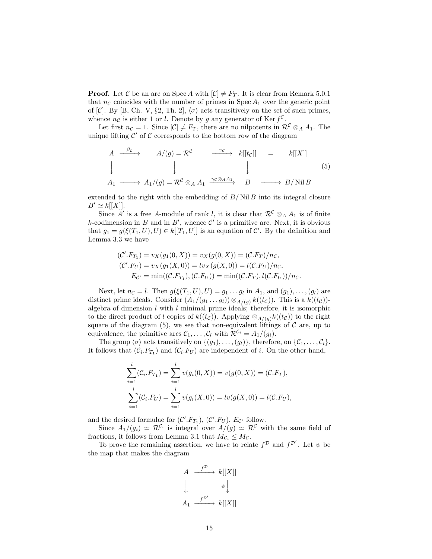**Proof.** Let C be an arc on Spec A with  $|\mathcal{C}| \neq F_T$ . It is clear from Remark 5.0.1 that  $n_c$  coincides with the number of primes in Spec  $A_1$  over the generic point of [C]. By [B, Ch. V, §2, Th. 2],  $\langle \sigma \rangle$  acts transitively on the set of such primes, whence  $n_c$  is either 1 or l. Denote by g any generator of Ker  $f^c$ .

Let first  $n_c = 1$ . Since  $[\mathcal{C}] \neq F_T$ , there are no nilpotents in  $\mathcal{R}^c \otimes_A A_1$ . The unique lifting  $\mathcal{C}'$  of  $\mathcal C$  corresponds to the bottom row of the diagram

$$
A \xrightarrow{\beta c} A/(g) = \mathcal{R}^{\mathcal{C}} \xrightarrow{\gamma c} k[[t_{\mathcal{C}}]] = k[[X]]
$$
  
\n
$$
\downarrow \qquad \qquad \downarrow \qquad \qquad \downarrow \qquad (5)
$$
  
\n
$$
A_1 \longrightarrow A_1/(g) = \mathcal{R}^{\mathcal{C}} \otimes_A A_1 \xrightarrow{\gamma c \otimes_A A_1} B \longrightarrow B/\text{Nil }B
$$

extended to the right with the embedding of  $B/NilB$  into its integral closure  $B' \simeq k[[X]].$ 

Since A' is a free A-module of rank l, it is clear that  $\mathcal{R}^{\mathcal{C}} \otimes_A A_1$  is of finite k-codimension in B and in B', whence C' is a primitive arc. Next, it is obvious that  $g_1 = g(\xi(T_1, U), U) \in k[[T_1, U]]$  is an equation of C'. By the definition and Lemma 3.3 we have

$$
(C'.F_{T_1}) = v_X(g_1(0, X)) = v_X(g(0, X)) = (C.F_T)/n_c,
$$
  
\n
$$
(C'.F_U) = v_X(g_1(X, 0)) = iv_X(g(X, 0)) = l(C.F_U)/n_c,
$$
  
\n
$$
E_{C'} = \min((C.F_{T_1}), (C.F_U)) = \min((C.F_T), l(C.F_U))/n_c.
$$

Next, let  $n_{\mathcal{C}} = l$ . Then  $g(\xi(T_1, U), U) = g_1 \dots g_l$  in  $A_1$ , and  $(g_1), \dots, (g_l)$  are distinct prime ideals. Consider  $(A_1/(g_1 \ldots g_l)) \otimes_{A/(g)} k((t_c))$ . This is a  $k((t_c))$ algebra of dimension  $l$  with  $l$  minimal prime ideals; therefore, it is isomorphic to the direct product of l copies of  $k((t_c))$ . Applying  $\otimes_{A/(g)} k((t_c))$  to the right square of the diagram  $(5)$ , we see that non-equivalent liftings of  $C$  are, up to equivalence, the primitive arcs  $C_1, \ldots, C_l$  with  $\mathcal{R}^{C_i} = A_1/(g_i)$ .

The group  $\langle \sigma \rangle$  acts transitively on  $\{(g_1), \ldots, (g_l)\}\$ , therefore, on  $\{\mathcal{C}_1, \ldots, \mathcal{C}_l\}\$ . It follows that  $(C_i.F_{T_1})$  and  $(C_i.F_U)$  are independent of *i*. On the other hand,

$$
\sum_{i=1}^{l} (\mathcal{C}_i.F_{T_1}) = \sum_{i=1}^{l} v(g_i(0, X)) = v(g(0, X)) = (\mathcal{C}.F_T),
$$
  

$$
\sum_{i=1}^{l} (\mathcal{C}_i.F_U) = \sum_{i=1}^{l} v(g_i(X, 0)) = l v(g(X, 0)) = l(\mathcal{C}.F_U),
$$

and the desired formulae for  $(C'.F_{T_1}), (C'.F_U), E_{C'}$  follow.

Since  $A_1/(g_i) \simeq \mathcal{R}^{\mathcal{C}_i}$  is integral over  $A/(g) \simeq \mathcal{R}^{\mathcal{C}}$  with the same field of fractions, it follows from Lemma 3.1 that  $M_{\mathcal{C}_i} \leq M_{\mathcal{C}}$ .

To prove the remaining assertion, we have to relate  $f^{\mathcal{D}}$  and  $f^{\mathcal{D}'}$ . Let  $\psi$  be the map that makes the diagram

$$
A \xrightarrow{f^{\mathcal{D}}} k[[X]]
$$
  

$$
\downarrow \qquad \psi \downarrow
$$
  

$$
A_1 \xrightarrow{f^{\mathcal{D}'}} k[[X]]
$$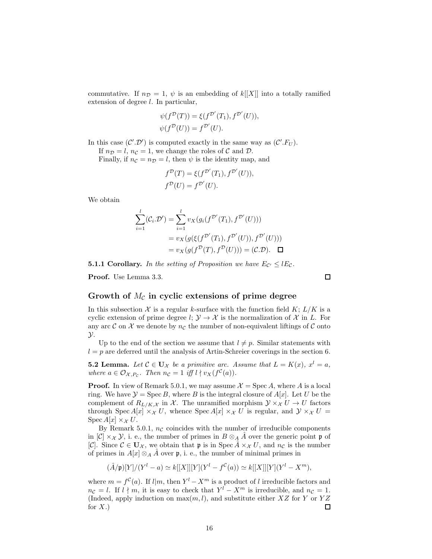commutative. If  $n_{\mathcal{D}} = 1$ ,  $\psi$  is an embedding of k[[X]] into a totally ramified extension of degree l. In particular,

$$
\psi(f^{\mathcal{D}}(T)) = \xi(f^{\mathcal{D}'}(T_1), f^{\mathcal{D}'}(U)),
$$
  

$$
\psi(f^{\mathcal{D}}(U)) = f^{\mathcal{D}'}(U).
$$

In this case  $(C'.\mathcal{D}')$  is computed exactly in the same way as  $(C'.F_U)$ .

If  $n_{\mathcal{D}} = l$ ,  $n_{\mathcal{C}} = 1$ , we change the roles of  $\mathcal{C}$  and  $\mathcal{D}$ .

Finally, if  $n_c = n_D = l$ , then  $\psi$  is the identity map, and

$$
f^{\mathcal{D}}(T) = \xi(f^{\mathcal{D}'}(T_1), f^{\mathcal{D}'}(U)),
$$
  

$$
f^{\mathcal{D}}(U) = f^{\mathcal{D}'}(U).
$$

We obtain

$$
\sum_{i=1}^{l} (\mathcal{C}_i \cdot \mathcal{D}') = \sum_{i=1}^{l} v_X(g_i(f^{\mathcal{D}'}(T_1), f^{\mathcal{D}'}(U)))
$$
  
=  $v_X(g(\xi(f^{\mathcal{D}'}(T_1), f^{\mathcal{D}'}(U)), f^{\mathcal{D}'}(U)))$   
=  $v_X(g(f^{\mathcal{D}}(T), f^{\mathcal{D}}(U))) = (\mathcal{C} \cdot \mathcal{D}) \cdot \square$ 

**5.1.1 Corollary.** In the setting of Proposition we have  $E_{\mathcal{C}'} \leq lE_{\mathcal{C}}$ .

Proof. Use Lemma 3.3.

## Growth of  $M_{\mathcal{C}}$  in cyclic extensions of prime degree

In this subsection  $\mathcal X$  is a regular k-surface with the function field  $K; L/K$  is a cyclic extension of prime degree  $l: \mathcal{Y} \to \mathcal{X}$  is the normalization of  $\mathcal{X}$  in L. For any arc  $\mathcal C$  on  $\mathcal X$  we denote by  $n_{\mathcal C}$  the number of non-equivalent liftings of  $\mathcal C$  onto  $\mathcal{Y}$ .

Up to the end of the section we assume that  $l \neq p$ . Similar statements with  $l = p$  are deferred until the analysis of Artin-Schreier coverings in the section 6.

**5.2 Lemma.** Let  $C \in U_{\mathcal{X}}$  be a primitive arc. Assume that  $L = K(x)$ ,  $x^l = a$ , where  $a \in \mathcal{O}_{\mathcal{X}, P_{\mathcal{C}}}$ . Then  $n_{\mathcal{C}} = 1$  iff  $l \nmid v_X(f^{\mathcal{C}}(a))$ .

**Proof.** In view of Remark 5.0.1, we may assume  $\mathcal{X} = \text{Spec } A$ , where A is a local ring. We have  $\mathcal{Y} = \text{Spec } B$ , where B is the integral closure of  $A[x]$ . Let U be the complement of  $R_{L/K,\mathcal{X}}$  in X. The unramified morphism  $\mathcal{Y} \times_{\mathcal{X}} U \to U$  factors through Spec  $A[x] \times_{\mathcal{X}} U$ , whence Spec  $A[x] \times_{\mathcal{X}} U$  is regular, and  $\mathcal{Y} \times_{\mathcal{X}} U =$ Spec  $A[x] \times_{\mathcal{X}} U$ .

By Remark 5.0.1,  $n_c$  coincides with the number of irreducible components in  $[\mathcal{C}] \times_{\mathcal{X}} \mathcal{Y}$ , i. e., the number of primes in  $B \otimes_A A$  over the generic point p of [C]. Since  $\mathcal{C} \in \mathbf{U}_{\mathcal{X}}$ , we obtain that  $\mathfrak{p}$  is in Spec  $A \times_{\mathcal{X}} U$ , and  $n_{\mathcal{C}}$  is the number of primes in  $A[x] \otimes_A \hat{A}$  over p, i. e., the number of minimal primes in

$$
(\hat{A}/\mathfrak{p})[Y]/(Y^l - a) \simeq k[[X]][Y](Y^l - f^{\mathcal{C}}(a)) \simeq k[[X]][Y](Y^l - X^m),
$$

where  $m = f^{\mathcal{C}}(a)$ . If  $l|m$ , then  $Y^l - X^m$  is a product of l irreducible factors and  $n_c = l$ . If  $l \nmid m$ , it is easy to check that  $Y^l - X^m$  is irreducible, and  $n_c = 1$ . (Indeed, apply induction on  $\max(m, l)$ , and substitute either XZ for Y or YZ for  $X$ .) □

 $\Box$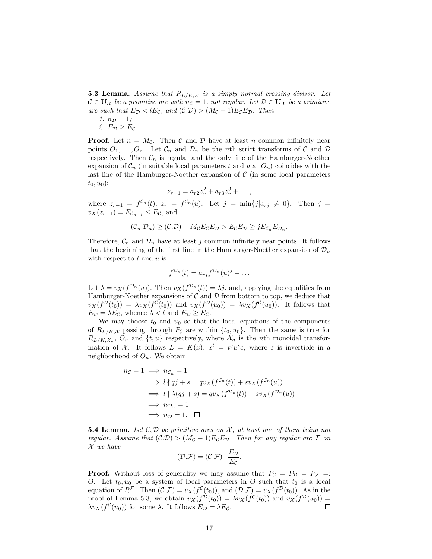**5.3 Lemma.** Assume that  $R_{L/K,X}$  is a simply normal crossing divisor. Let  $\mathcal{C} \in \mathbf{U}_{\mathcal{X}}$  be a primitive arc with  $n_{\mathcal{C}} = 1$ , not regular. Let  $\mathcal{D} \in \mathbf{U}_{\mathcal{X}}$  be a primitive arc such that  $E_{\mathcal{D}} < lE_{\mathcal{C}}$ , and  $(\mathcal{C}.\mathcal{D}) > (M_{\mathcal{C}} + 1)E_{\mathcal{C}}E_{\mathcal{D}}$ . Then

1.  $n_{\mathcal{D}} = 1$ ; 2.  $E_{\mathcal{D}} \geq E_{\mathcal{C}}$ .

**Proof.** Let  $n = M_{\mathcal{C}}$ . Then C and D have at least n common infinitely near points  $O_1, \ldots, O_n$ . Let  $\mathcal{C}_n$  and  $\mathcal{D}_n$  be the *n*th strict transforms of  $\mathcal C$  and  $\mathcal D$ respectively. Then  $\mathcal{C}_n$  is regular and the only line of the Hamburger-Noether expansion of  $\mathcal{C}_n$  (in suitable local parameters t and u at  $O_n$ ) coincides with the last line of the Hamburger-Noether expansion of  $\mathcal C$  (in some local parameters  $t_0, u_0$ :

$$
z_{r-1} = a_{r2}z_r^2 + a_{r3}z_r^3 + \dots,
$$

where  $z_{r-1} = f^{\mathcal{C}_n}(t)$ ,  $z_r = f^{\mathcal{C}_n}(u)$ . Let  $j = \min\{j | a_{rj} \neq 0\}$ . Then  $j =$  $v_X(z_{r-1}) = E_{\mathcal{C}_{n-1}} \leq E_{\mathcal{C}}$ , and

$$
(\mathcal{C}_n.\mathcal{D}_n) \geq (\mathcal{C}.\mathcal{D}) - M_{\mathcal{C}}E_{\mathcal{C}}E_{\mathcal{D}} > E_{\mathcal{C}}E_{\mathcal{D}} \geq jE_{\mathcal{C}_n}E_{\mathcal{D}_n}.
$$

Therefore,  $\mathcal{C}_n$  and  $\mathcal{D}_n$  have at least j common infinitely near points. It follows that the beginning of the first line in the Hamburger-Noether expansion of  $\mathcal{D}_n$ with respect to  $t$  and  $u$  is

$$
f^{\mathcal{D}_n}(t) = a_{rj} f^{\mathcal{D}_n}(u)^j + \dots
$$

Let  $\lambda = v_X(f^{\mathcal{D}_n}(u))$ . Then  $v_X(f^{\mathcal{D}_n}(t)) = \lambda j$ , and, applying the equalities from Hamburger-Noether expansions of  $\mathcal C$  and  $\mathcal D$  from bottom to top, we deduce that  $v_X(f^{\mathcal{D}}(t_0)) = \lambda v_X(f^{\mathcal{C}}(t_0))$  and  $v_X(f^{\mathcal{D}}(u_0)) = \lambda v_X(f^{\mathcal{C}}(u_0))$ . It follows that  $E_{\mathcal{D}} = \lambda E_{\mathcal{C}}$ , whence  $\lambda < l$  and  $E_{\mathcal{D}} \geq E_{\mathcal{C}}$ .

We may choose  $t_0$  and  $u_0$  so that the local equations of the components of  $R_{L/K,\mathcal{X}}$  passing through  $P_{\mathcal{C}}$  are within  $\{t_0, u_0\}$ . Then the same is true for  $R_{L/K,\mathcal{X}_n}$ ,  $O_n$  and  $\{t,u\}$  respectively, where  $\mathcal{X}_n$  is the nth monoidal transformation of X. It follows  $L = K(x)$ ,  $x^l = t^q u^s \varepsilon$ , where  $\varepsilon$  is invertible in a neighborhood of  $O_n$ . We obtain

$$
n_{\mathcal{C}} = 1 \implies n_{\mathcal{C}_n} = 1
$$
  
\n
$$
\implies l \nmid qj + s = qv_X(f^{\mathcal{C}_n}(t)) + sv_X(f^{\mathcal{C}_n}(u))
$$
  
\n
$$
\implies l \nmid \lambda(qj + s) = qv_X(f^{\mathcal{D}_n}(t)) + sv_X(f^{\mathcal{D}_n}(u))
$$
  
\n
$$
\implies n_{\mathcal{D}_n} = 1
$$
  
\n
$$
\implies n_{\mathcal{D}} = 1. \quad \Box
$$

**5.4 Lemma.** Let  $\mathcal{C}, \mathcal{D}$  be primitive arcs on  $\mathcal{X}$ , at least one of them being not regular. Assume that  $(C.\mathcal{D}) > (M_{\mathcal{C}} + 1)E_{\mathcal{C}}E_{\mathcal{D}}$ . Then for any regular arc  $\mathcal F$  on  $\mathcal X$  we have

$$
(\mathcal{D}.\mathcal{F}) = (\mathcal{C}.\mathcal{F}) \cdot \frac{E_{\mathcal{D}}}{E_{\mathcal{C}}}.
$$

**Proof.** Without loss of generality we may assume that  $P_{\mathcal{C}} = P_{\mathcal{D}} = P_{\mathcal{F}} =$ O. Let  $t_0, u_0$  be a system of local parameters in O such that  $t_0$  is a local equation of  $R^{\mathcal{F}}$ . Then  $(C.\mathcal{F}) = v_X(f^{\mathcal{C}}(t_0))$ , and  $(D.\mathcal{F}) = v_X(f^{\mathcal{D}}(t_0))$ . As in the proof of Lemma 5.3, we obtain  $v_X(f^{\mathcal{D}}(t_0)) = \lambda v_X(f^{\mathcal{C}}(t_0))$  and  $v_X(f^{\mathcal{D}}(u_0)) =$  $\lambda v_X(f^{\mathcal{C}}(u_0))$  for some  $\lambda$ . It follows  $E_{\mathcal{D}} = \lambda E_{\mathcal{C}}$ .  $\Box$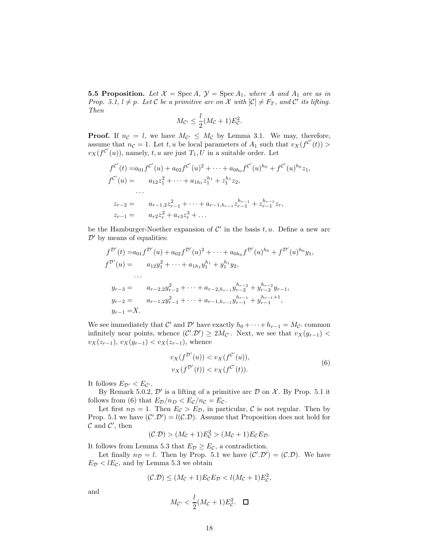**5.5 Proposition.** Let  $X = \text{Spec } A$ ,  $Y = \text{Spec } A_1$ , where A and  $A_1$  are as in Prop. 5.1,  $l \neq p$ . Let C be a primitive arc on X with  $[C] \neq F_T$ , and C' its lifting. Then

$$
M_{\mathcal{C}'} \leq \frac{l}{2}(M_{\mathcal{C}}+1)E_{\mathcal{C}}^2.
$$

**Proof.** If  $n_c = l$ , we have  $M_{c'} \leq M_c$  by Lemma 3.1. We may, therefore, assume that  $n_c = 1$ . Let t, u be local parameters of  $A_1$  such that  $v_X(f^{c'}(t)) >$  $v_X(f^{\mathcal{C}'}(u))$ , namely, t, u are just  $T_1, U$  in a suitable order. Let

$$
f^{C'}(t) = a_{01} f^{C'}(u) + a_{02} f^{C'}(u)^2 + \dots + a_{0h_0} f^{C'}(u)^{h_0} + f^{C'}(u)^{h_0} z_1,
$$
  
\n
$$
f^{C'}(u) = a_{12} z_1^2 + \dots + a_{1h_1} z_1^{h_1} + z_1^{h_1} z_2,
$$
  
\n...  
\n
$$
z_{r-2} = a_{r-1,2} z_{r-1}^2 + \dots + a_{r-1,h_{r-1}} z_{r-1}^{h_{r-1}} + z_{r-1}^{h_{r-1}} z_r,
$$
  
\n
$$
z_{r-1} = a_{r2} z_r^2 + a_{r3} z_r^3 + \dots
$$

be the Hamburger-Noether expansion of  $\mathcal{C}'$  in the basis  $t, u$ . Define a new arc  $\mathcal{D}'$  by means of equalities:

$$
f^{\mathcal{D}'}(t) = a_{01} f^{\mathcal{D}'}(u) + a_{02} f^{\mathcal{D}'}(u)^2 + \cdots + a_{0h_0} f^{\mathcal{D}'}(u)^{h_0} + f^{\mathcal{D}'}(u)^{h_0} y_1,
$$
  
\n
$$
f^{\mathcal{D}'}(u) = a_{12} y_1^2 + \cdots + a_{1h_1} y_1^{h_1} + y_1^{h_1} y_2,
$$
  
\n...  
\n
$$
y_{r-3} = a_{r-2,2} y_{r-2}^2 + \cdots + a_{r-2,h_{r-1}} y_{r-2}^{h_{r-2}} + y_{r-2}^{h_{r-2}} y_{r-1},
$$
  
\n
$$
y_{r-2} = a_{r-1,2} y_{r-1}^2 + \cdots + a_{r-1,h_{r-1}} y_{r-1}^{h_{r-1}} + y_{r-1}^{h_{r-1}+1},
$$
  
\n
$$
y_{r-1} = X.
$$

We see immediately that  $\mathcal{C}'$  and  $\mathcal{D}'$  have exactly  $h_0 + \cdots + h_{r-1} = M_{\mathcal{C}'}$  common infinitely near points, whence  $(C'.D') \ge 2M_{C'}$ . Next, we see that  $v_X(y_{r-1})$  <  $v_X(z_{r-1}), v_X(y_{r-1}) < v_X(z_{r-1}),$  whence

$$
v_X(f^{\mathcal{D}'}(u)) < v_X(f^{C'}(u)),
$$
  
\n
$$
v_X(f^{\mathcal{D}'}(t)) < v_X(f^{C'}(t)).
$$
\n(6)

It follows  $E_{\mathcal{D}'} < E_{\mathcal{C}'}$ .

By Remark 5.0.2,  $\mathcal{D}'$  is a lifting of a primitive arc  $\mathcal D$  on  $\mathcal X$ . By Prop. 5.1 it follows from (6) that  $E_{\mathcal{D}}/n_D < E_{\mathcal{C}}/n_{\mathcal{C}} = E_{\mathcal{C}}$ .

Let first  $n_{\mathcal{D}} = 1$ . Then  $E_{\mathcal{C}} > E_{\mathcal{D}}$ , in particular,  $\mathcal{C}$  is not regular. Then by Prop. 5.1 we have  $(C'.\mathcal{D}') = l(C.\mathcal{D})$ . Assume that Proposition does not hold for  $\mathcal C$  and  $\mathcal C'$ , then

$$
(\mathcal{C}.\mathcal{D}) > (M_{\mathcal{C}} + 1)E_{\mathcal{C}}^2 > (M_{\mathcal{C}} + 1)E_{\mathcal{C}}E_{\mathcal{D}}.
$$

It follows from Lemma 5.3 that  $E_{\mathcal{D}} \geq E_{\mathcal{C}}$ , a contradiction.

Let finally  $n_{\mathcal{D}} = l$ . Then by Prop. 5.1 we have  $(\mathcal{C}', \mathcal{D}') = (\mathcal{C}, \mathcal{D})$ . We have  $E_{\mathcal{D}} < lE_{\mathcal{C}}$ , and by Lemma 5.3 we obtain

$$
(\mathcal{C}.\mathcal{D}) \le (M_{\mathcal{C}} + 1)E_{\mathcal{C}}E_{\mathcal{D}} < l(M_{\mathcal{C}} + 1)E_{\mathcal{C}}^2,
$$

and

$$
M_{\mathcal{C}'} < \frac{l}{2}(M_{\mathcal{C}} + 1)E_{\mathcal{C}}^2. \quad \Box
$$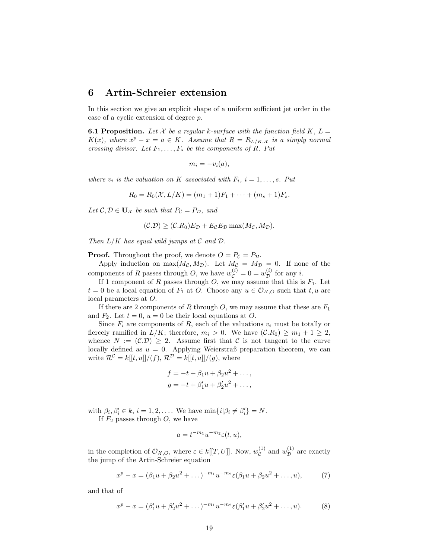# 6 Artin-Schreier extension

In this section we give an explicit shape of a uniform sufficient jet order in the case of a cyclic extension of degree p.

**6.1 Proposition.** Let X be a regular k-surface with the function field K,  $L =$  $K(x)$ , where  $x^p - x = a \in K$ . Assume that  $R = R_{L/K, \mathcal{X}}$  is a simply normal crossing divisor. Let  $F_1, \ldots, F_s$  be the components of R. Put

$$
m_i = -v_i(a),
$$

where  $v_i$  is the valuation on K associated with  $F_i$ ,  $i = 1, \ldots, s$ . Put

$$
R_0 = R_0(\mathcal{X}, L/K) = (m_1 + 1)F_1 + \cdots + (m_s + 1)F_s.
$$

Let  $\mathcal{C}, \mathcal{D} \in \mathbf{U}_{\mathcal{X}}$  be such that  $P_{\mathcal{C}} = P_{\mathcal{D}}$ , and

$$
(\mathcal{C}.\mathcal{D}) \geq (\mathcal{C}.R_0)E_{\mathcal{D}} + E_{\mathcal{C}}E_{\mathcal{D}}\max(M_{\mathcal{C}},M_{\mathcal{D}}).
$$

Then  $L/K$  has equal wild jumps at  $\mathcal C$  and  $\mathcal D$ .

**Proof.** Throughout the proof, we denote  $O = P_c = P_p$ .

Apply induction on  $\max(M_{\mathcal{C}}, M_{\mathcal{D}})$ . Let  $M_{\mathcal{C}} = M_{\mathcal{D}} = 0$ . If none of the components of R passes through O, we have  $w_{\mathcal{C}}^{(i)} = 0 = w_{\mathcal{D}}^{(i)}$  for any *i*.

If 1 component of R passes through  $O$ , we may assume that this is  $F_1$ . Let  $t = 0$  be a local equation of  $F_1$  at O. Choose any  $u \in \mathcal{O}_{\mathcal{X},O}$  such that  $t, u$  are local parameters at O.

If there are 2 components of R through  $O$ , we may assume that these are  $F_1$ and  $F_2$ . Let  $t = 0$ ,  $u = 0$  be their local equations at O.

Since  $F_i$  are components of R, each of the valuations  $v_i$  must be totally or fiercely ramified in  $L/K$ ; therefore,  $m_i > 0$ . We have  $(C.R_0) \geq m_1 + 1 \geq 2$ , whence  $N := (\mathcal{C}.\mathcal{D}) \geq 2$ . Assume first that C is not tangent to the curve locally defined as  $u = 0$ . Applying Weierstraß preparation theorem, we can write  $\mathcal{R}^{\mathcal{C}} = k[[t, u]]/(f), \mathcal{R}^{\mathcal{D}} = k[[t, u]]/(g),$  where

$$
f = -t + \beta_1 u + \beta_2 u^2 + \dots,
$$
  
\n
$$
g = -t + \beta'_1 u + \beta'_2 u^2 + \dots,
$$

with  $\beta_i, \beta'_i \in k, i = 1, 2, \ldots$ . We have  $\min\{i | \beta_i \neq \beta'_i\} = N$ . If  $F_2$  passes through  $O$ , we have

$$
a = t^{-m_1} u^{-m_2} \varepsilon(t, u),
$$

in the completion of  $\mathcal{O}_{\mathcal{X},O}$ , where  $\varepsilon \in k[[T,U]]$ . Now,  $w_{\mathcal{C}}^{(1)}$  $\mathcal{C}^{(1)}$  and  $w_{\mathcal{D}}^{(1)}$  are exactly the jump of the Artin-Schreier equation

$$
x^{p} - x = (\beta_{1}u + \beta_{2}u^{2} + ...)^{-m_{1}}u^{-m_{2}}\varepsilon(\beta_{1}u + \beta_{2}u^{2} + ..., u),
$$
 (7)

and that of

$$
x^{p} - x = (\beta'_{1}u + \beta'_{2}u^{2} + \dots)^{-m_{1}}u^{-m_{2}}\varepsilon(\beta'_{1}u + \beta'_{2}u^{2} + \dots, u).
$$
 (8)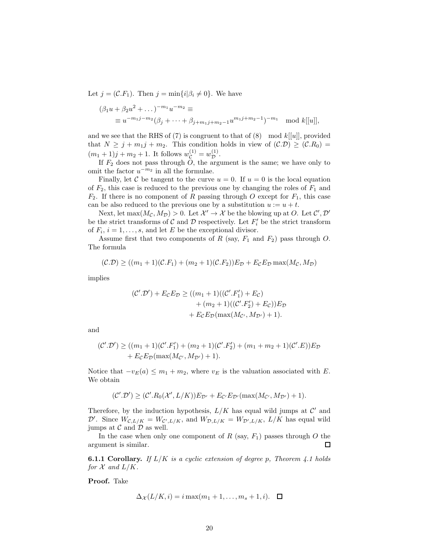Let  $j = (\mathcal{C}.F_1)$ . Then  $j = \min\{i | \beta_i \neq 0\}$ . We have

$$
(\beta_1 u + \beta_2 u^2 + \dots)^{-m_1} u^{-m_2} \equiv
$$
  
\n
$$
\equiv u^{-m_1 j - m_2} (\beta_j + \dots + \beta_{j+m_1 j + m_2 - 1} u^{m_1 j + m_2 - 1})^{-m_1} \mod k[[u]],
$$

and we see that the RHS of (7) is congruent to that of  $(8) \mod k[[u]]$ , provided that  $N \geq j + m_1j + m_2$ . This condition holds in view of  $(C.D) \geq (C.R_0)$  $(m_1 + 1)j + m_2 + 1$ . It follows  $w_C^{(1)} = w_D^{(1)}$ .

If  $F_2$  does not pass through  $\tilde{O}$ , the argument is the same; we have only to omit the factor  $u^{-m_2}$  in all the formulae.

Finally, let C be tangent to the curve  $u = 0$ . If  $u = 0$  is the local equation of  $F_2$ , this case is reduced to the previous one by changing the roles of  $F_1$  and  $F_2$ . If there is no component of R passing through O except for  $F_1$ , this case can be also reduced to the previous one by a substitution  $u := u + t$ .

Next, let  $\max(M_{\mathcal{C}}, M_{\mathcal{D}}) > 0$ . Let  $\mathcal{X}' \to \mathcal{X}$  be the blowing up at O. Let  $\mathcal{C}', \mathcal{D}'$ be the strict transforms of C and D respectively. Let  $F_i'$  be the strict transform of  $F_i$ ,  $i = 1, \ldots, s$ , and let E be the exceptional divisor.

Assume first that two components of R (say,  $F_1$  and  $F_2$ ) pass through O. The formula

$$
(\mathcal{C}.\mathcal{D}) \ge ((m_1 + 1)(\mathcal{C}.F_1) + (m_2 + 1)(\mathcal{C}.F_2))E_{\mathcal{D}} + E_{\mathcal{C}}E_{\mathcal{D}}\max(M_{\mathcal{C}},M_{\mathcal{D}})
$$

implies

$$
(\mathcal{C}', \mathcal{D}') + E_{\mathcal{C}} E_{\mathcal{D}} \ge ((m_1 + 1)((\mathcal{C}', F'_1) + E_{\mathcal{C}}) + (m_2 + 1)((\mathcal{C}', F'_2) + E_{\mathcal{C}}))E_{\mathcal{D}} + E_{\mathcal{C}} E_{\mathcal{D}}(\max(M_{\mathcal{C}'}, M_{\mathcal{D}'}) + 1).
$$

and

$$
(\mathcal{C}', \mathcal{D}') \ge ((m_1 + 1)(\mathcal{C}', F'_1) + (m_2 + 1)(\mathcal{C}', F'_2) + (m_1 + m_2 + 1)(\mathcal{C}', E))E_{\mathcal{D}} + E_{\mathcal{C}} E_{\mathcal{D}}(\max(M_{\mathcal{C}'}, M_{\mathcal{D}'}) + 1).
$$

Notice that  $-v_E(a) \leq m_1 + m_2$ , where  $v_E$  is the valuation associated with E. We obtain

$$
(\mathcal{C}',\mathcal{D}') \geq (\mathcal{C}',R_0(\mathcal{X}',L/K))E_{\mathcal{D}'} + E_{\mathcal{C}'}E_{\mathcal{D}'}(\max(M_{\mathcal{C}'},M_{\mathcal{D}'})+1).
$$

Therefore, by the induction hypothesis,  $L/K$  has equal wild jumps at  $\mathcal{C}'$  and  $\mathcal{D}'$ . Since  $W_{\mathcal{C},L/K} = W_{\mathcal{C}',L/K}$ , and  $W_{\mathcal{D},L/K} = W_{\mathcal{D}',L/K}$ ,  $L/K$  has equal wild jumps at  $\mathcal C$  and  $\mathcal D$  as well.

In the case when only one component of R (say,  $F_1$ ) passes through O the argument is similar. □

**6.1.1 Corollary.** If  $L/K$  is a cyclic extension of degree p, Theorem 4.1 holds for  $\mathcal X$  and  $L/K$ .

Proof. Take

$$
\Delta_{\mathcal{X}}(L/K, i) = i \max(m_1 + 1, \dots, m_s + 1, i). \quad \Box
$$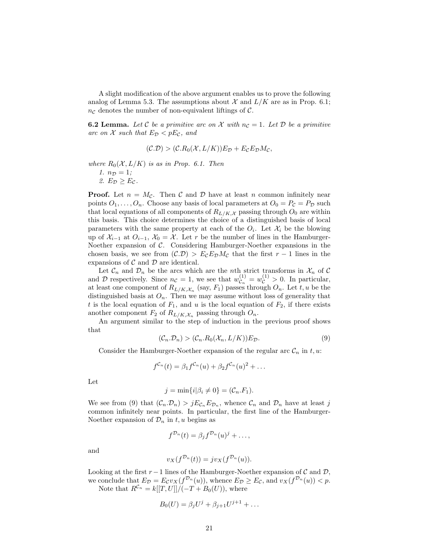A slight modification of the above argument enables us to prove the following analog of Lemma 5.3. The assumptions about X and  $L/K$  are as in Prop. 6.1;  $n_{\mathcal{C}}$  denotes the number of non-equivalent liftings of  $\mathcal{C}$ .

**6.2 Lemma.** Let C be a primitive arc on X with  $n_c = 1$ . Let D be a primitive arc on  $X$  such that  $E_{\mathcal{D}} < pE_{\mathcal{C}}$ , and

$$
(\mathcal{C}.\mathcal{D}) > (\mathcal{C}.R_0(\mathcal{X}, L/K))E_{\mathcal{D}} + E_{\mathcal{C}}E_{\mathcal{D}}M_{\mathcal{C}},
$$

where  $R_0(\mathcal{X}, L/K)$  is as in Prop. 6.1. Then

1.  $n_{\cal D} = 1$ ;

2.  $E_{\mathcal{D}} \geq E_{\mathcal{C}}$ .

**Proof.** Let  $n = M_{\mathcal{C}}$ . Then  $\mathcal{C}$  and  $\mathcal{D}$  have at least n common infinitely near points  $O_1, \ldots, O_n$ . Choose any basis of local parameters at  $O_0 = P_{\mathcal{C}} = P_{\mathcal{D}}$  such that local equations of all components of  $R_{L/K,\mathcal{X}}$  passing through  $O_0$  are within this basis. This choice determines the choice of a distinguished basis of local parameters with the same property at each of the  $O_i$ . Let  $\mathcal{X}_i$  be the blowing up of  $\mathcal{X}_{i-1}$  at  $O_{i-1}$ ,  $\mathcal{X}_0 = \mathcal{X}$ . Let r be the number of lines in the Hamburger-Noether expansion of C. Considering Hamburger-Noether expansions in the chosen basis, we see from  $(C.\mathcal{D}) > E_{\mathcal{C}}E_{\mathcal{D}}M_{\mathcal{C}}$  that the first  $r-1$  lines in the expansions of  $\mathcal C$  and  $\mathcal D$  are identical.

Let  $\mathcal{C}_n$  and  $\mathcal{D}_n$  be the arcs which are the *n*th strict transforms in  $\mathcal{X}_n$  of  $\mathcal{C}$ and D respectively. Since  $n_c = 1$ , we see that  $w_{\mathcal{C}_n}^{(1)}$  $\mathcal{C}_n^{(1)} = w_{\mathcal{C}}^{(1)} > 0$ . In particular, at least one component of  $R_{L/K, \mathcal{X}_n}$  (say,  $F_1$ ) passes through  $O_n$ . Let  $t, u$  be the distinguished basis at  $O_n$ . Then we may assume without loss of generality that t is the local equation of  $F_1$ , and u is the local equation of  $F_2$ , if there exists another component  $F_2$  of  $R_{L/K,\mathcal{X}_n}$  passing through  $O_n$ .

An argument similar to the step of induction in the previous proof shows that

$$
(\mathcal{C}_n \cdot \mathcal{D}_n) > (\mathcal{C}_n \cdot R_0(\mathcal{X}_n, L/K)) E_{\mathcal{D}}.\tag{9}
$$

Consider the Hamburger-Noether expansion of the regular arc  $\mathcal{C}_n$  in  $t, u$ .

$$
f^{\mathcal{C}_n}(t) = \beta_1 f^{\mathcal{C}_n}(u) + \beta_2 f^{\mathcal{C}_n}(u)^2 + \dots
$$

Let

$$
j = \min\{i|\beta_i \neq 0\} = (\mathcal{C}_n.F_1).
$$

We see from (9) that  $(C_n \mathcal{D}_n) > jE_{\mathcal{C}_n}E_{\mathcal{D}_n}$ , whence  $\mathcal{C}_n$  and  $\mathcal{D}_n$  have at least j common infinitely near points. In particular, the first line of the Hamburger-Noether expansion of  $\mathcal{D}_n$  in t, u begins as

$$
f^{\mathcal{D}_n}(t) = \beta_j f^{\mathcal{D}_n}(u)^j + \dots,
$$

and

$$
v_X(f^{\mathcal{D}_n}(t)) = jv_X(f^{\mathcal{D}_n}(u)).
$$

Looking at the first  $r-1$  lines of the Hamburger-Noether expansion of  $\mathcal C$  and  $\mathcal D$ , we conclude that  $E_{\mathcal{D}} = E_{\mathcal{C}} v_X(f^{\mathcal{D}_n}(u))$ , whence  $E_{\mathcal{D}} \geq E_{\mathcal{C}}$ , and  $v_X(f^{\mathcal{D}_n}(u)) < p$ .

Note that  $R^{\mathcal{C}_n} = k[[T, U]]/(-T + B_0(U))$ , where

$$
B_0(U) = \beta_j U^j + \beta_{j+1} U^{j+1} + \dots
$$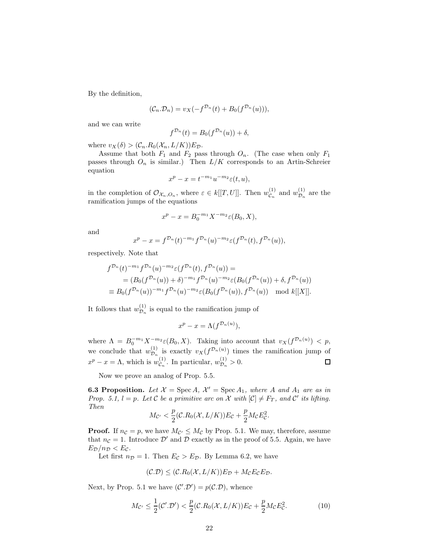By the definition,

$$
(\mathcal{C}_n \cdot \mathcal{D}_n) = v_X(-f^{\mathcal{D}_n}(t) + B_0(f^{\mathcal{D}_n}(u))),
$$

and we can write

$$
f^{\mathcal{D}_n}(t) = B_0(f^{\mathcal{D}_n}(u)) + \delta,
$$

where  $v_X(\delta) > (\mathcal{C}_n.R_0(\mathcal{X}_n, L/K))E_{\mathcal{D}}$ .

Assume that both  $F_1$  and  $F_2$  pass through  $O_n$ . (The case when only  $F_1$ passes through  $O_n$  is similar.) Then  $L/K$  corresponds to an Artin-Schreier equation

$$
x^p - x = t^{-m_1} u^{-m_2} \varepsilon(t, u),
$$

in the completion of  $\mathcal{O}_{\mathcal{X}_n, O_n}$ , where  $\varepsilon \in k[[T, U]]$ . Then  $w_{\mathcal{C}_n}^{(1)}$  $\overset{(1)}{\mathcal{C}_n}$  and  $w_{\mathcal{D}_n}^{(1)}$  $\mathcal{D}_n^{(1)}$  are the ramification jumps of the equations

$$
x^{p} - x = B_0^{-m_1} X^{-m_2} \varepsilon(B_0, X),
$$

and

$$
x^{p}-x=f^{\mathcal{D}_{n}}(t)^{-m_{1}}f^{\mathcal{D}_{n}}(u)^{-m_{2}}\varepsilon(f^{\mathcal{D}_{n}}(t),f^{\mathcal{D}_{n}}(u)),
$$

respectively. Note that

 $\overline{a}$ 

$$
f^{\mathcal{D}_n}(t)^{-m_1} f^{\mathcal{D}_n}(u)^{-m_2} \varepsilon(f^{\mathcal{D}_n}(t), f^{\mathcal{D}_n}(u)) =
$$
  
=  $(B_0(f^{\mathcal{D}_n}(u)) + \delta)^{-m_1} f^{\mathcal{D}_n}(u)^{-m_2} \varepsilon(B_0(f^{\mathcal{D}_n}(u)) + \delta, f^{\mathcal{D}_n}(u))$   
 $\equiv B_0(f^{\mathcal{D}_n}(u))^{-m_1} f^{\mathcal{D}_n}(u)^{-m_2} \varepsilon(B_0(f^{\mathcal{D}_n}(u)), f^{\mathcal{D}_n}(u)) \mod k[[X]].$ 

It follows that  $w_{\mathcal{D}_n}^{(1)}$  $\mathcal{D}_n$  is equal to the ramification jump of

$$
x^p - x = \Lambda(f^{\mathcal{D}_n(u)}),
$$

where  $\Lambda = B_0^{-m_1} X^{-m_2} \varepsilon(B_0, X)$ . Taking into account that  $v_X(f^{\mathcal{D}_n(u)}) < p$ , we conclude that  $w_{\mathcal{D}_n}^{(1)}$  $\mathcal{D}_n^{(1)}$  is exactly  $v_X(f^{\mathcal{D}_n(u)})$  times the ramification jump of  $x^p - x = \Lambda$ , which is  $w_{\mathcal{C}_n}^{(1)}$  $\mathcal{C}_n^{(1)}$ . In particular,  $w_{\mathcal{D}_n}^{(1)} > 0$ .

Now we prove an analog of Prop. 5.5.

**6.3 Proposition.** Let  $\mathcal{X} = \text{Spec } A$ ,  $\mathcal{X}' = \text{Spec } A_1$ , where A and  $A_1$  are as in Prop. 5.1,  $l = p$ . Let C be a primitive arc on X with  $[\mathcal{C}] \neq F_T$ , and C' its lifting. Then

$$
M_{\mathcal{C}'} < \frac{p}{2}(\mathcal{C}.R_0(\mathcal{X}, L/K))E_{\mathcal{C}} + \frac{p}{2}M_{\mathcal{C}}E_{\mathcal{C}}^2.
$$

**Proof.** If  $n_c = p$ , we have  $M_{\mathcal{C}'} \leq M_{\mathcal{C}}$  by Prop. 5.1. We may, therefore, assume that  $n_{\mathcal{C}} = 1$ . Introduce  $\mathcal{D}'$  and  $\mathcal{D}$  exactly as in the proof of 5.5. Again, we have  $E_{\mathcal{D}}/n_{\mathcal{D}} < E_{\mathcal{C}}$ .

Let first  $n_{\mathcal{D}} = 1$ . Then  $E_{\mathcal{C}} > E_{\mathcal{D}}$ . By Lemma 6.2, we have

$$
(\mathcal{C}.\mathcal{D}) \leq (\mathcal{C}.R_0(\mathcal{X}, L/K))E_{\mathcal{D}} + M_{\mathcal{C}}E_{\mathcal{C}}E_{\mathcal{D}}.
$$

Next, by Prop. 5.1 we have  $(C'.\mathcal{D}') = p(C.\mathcal{D})$ , whence

$$
M_{\mathcal{C}'} \le \frac{1}{2}(\mathcal{C}', \mathcal{D}') < \frac{p}{2}(\mathcal{C}.R_0(\mathcal{X}, L/K))E_{\mathcal{C}} + \frac{p}{2}M_{\mathcal{C}}E_{\mathcal{C}}^2. \tag{10}
$$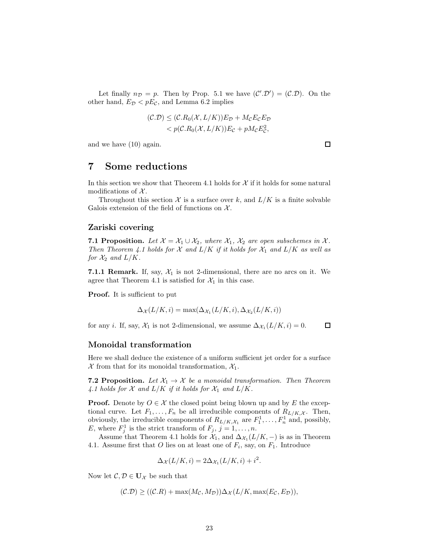Let finally  $n_{\mathcal{D}} = p$ . Then by Prop. 5.1 we have  $(\mathcal{C}', \mathcal{D}') = (\mathcal{C}, \mathcal{D})$ . On the other hand,  $E_{\mathcal{D}} < pE_{\mathcal{C}}$ , and Lemma 6.2 implies

$$
(\mathcal{C}.\mathcal{D}) \leq (\mathcal{C}.R_0(\mathcal{X}, L/K))E_{\mathcal{D}} + M_{\mathcal{C}}E_{\mathcal{C}}E_{\mathcal{D}} < p(\mathcal{C}.R_0(\mathcal{X}, L/K))E_{\mathcal{C}} + pM_{\mathcal{C}}E_{\mathcal{C}}^2,
$$

and we have (10) again.

 $\Box$ 

# 7 Some reductions

In this section we show that Theorem 4.1 holds for  $\mathcal X$  if it holds for some natural modifications of  $X$ .

Throughout this section  $\mathcal X$  is a surface over k, and  $L/K$  is a finite solvable Galois extension of the field of functions on  $\mathcal{X}$ .

## Zariski covering

**7.1 Proposition.** Let  $\mathcal{X} = \mathcal{X}_1 \cup \mathcal{X}_2$ , where  $\mathcal{X}_1$ ,  $\mathcal{X}_2$  are open subschemes in  $\mathcal{X}$ . Then Theorem 4.1 holds for X and  $L/K$  if it holds for  $\mathcal{X}_1$  and  $L/K$  as well as for  $\mathcal{X}_2$  and  $L/K$ .

7.1.1 Remark. If, say,  $\mathcal{X}_1$  is not 2-dimensional, there are no arcs on it. We agree that Theorem 4.1 is satisfied for  $\mathcal{X}_1$  in this case.

Proof. It is sufficient to put

$$
\Delta_{\mathcal{X}}(L/K, i) = \max(\Delta_{\mathcal{X}_1}(L/K, i), \Delta_{\mathcal{X}_2}(L/K, i))
$$

for any *i*. If, say,  $\mathcal{X}_1$  is not 2-dimensional, we assume  $\Delta_{\mathcal{X}_1}(L/K, i) = 0$ .  $\Box$ 

### Monoidal transformation

Here we shall deduce the existence of a uniform sufficient jet order for a surface X from that for its monoidal transformation,  $\mathcal{X}_1$ .

**7.2 Proposition.** Let  $X_1 \rightarrow X$  be a monoidal transformation. Then Theorem 4.1 holds for X and  $L/K$  if it holds for  $\mathcal{X}_1$  and  $L/K$ .

**Proof.** Denote by  $O \in \mathcal{X}$  the closed point being blown up and by E the exceptional curve. Let  $F_1, \ldots, F_n$  be all irreducible components of  $R_{L/K,\mathcal{X}}$ . Then, obviously, the irreducible components of  $R_{L/K, \mathcal{X}_1}$  are  $F_1^1, \ldots, F_n^1$  and, possibly, E, where  $F_j^1$  is the strict transform of  $F_j$ ,  $j = 1, \ldots, n$ .

Assume that Theorem 4.1 holds for  $\mathcal{X}_1$ , and  $\Delta_{\mathcal{X}_1}(L/K,-)$  is as in Theorem 4.1. Assume first that O lies on at least one of  $F_i$ , say, on  $F_1$ . Introduce

$$
\Delta_{\mathcal{X}}(L/K, i) = 2\Delta_{\mathcal{X}_1}(L/K, i) + i^2.
$$

Now let  $\mathcal{C}, \mathcal{D} \in \mathbf{U}_{\mathcal{X}}$  be such that

$$
(\mathcal{C}.\mathcal{D}) \ge ((\mathcal{C}.\mathcal{R}) + \max(M_{\mathcal{C}}, M_{\mathcal{D}})) \Delta_{\mathcal{X}}(L/K, \max(E_{\mathcal{C}}, E_{\mathcal{D}})),
$$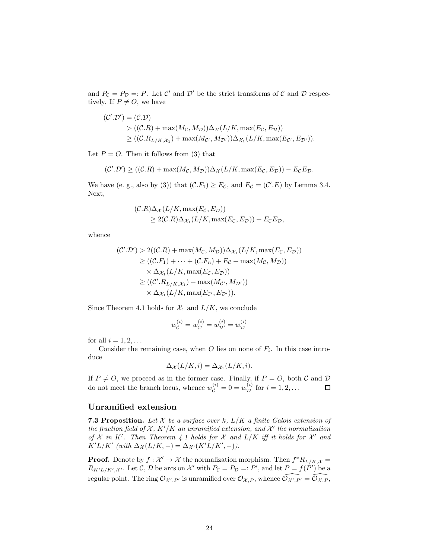and  $P_{\mathcal{C}} = P_{\mathcal{D}} =: P$ . Let  $\mathcal{C}'$  and  $\mathcal{D}'$  be the strict transforms of  $\mathcal{C}$  and  $\mathcal{D}$  respectively. If  $P \neq O$ , we have

$$
(C'.\mathcal{D}') = (C.\mathcal{D})
$$
  
> ((C.R) + max(M<sub>C</sub>, M<sub>D</sub>)) $\Delta_{\mathcal{X}}(L/K, \max(E_{C}, E_{D}))$   
 $\geq ((C.R_{L/K,X_1}) + \max(M_{C'}, M_{D'}))\Delta_{\mathcal{X}_1}(L/K, \max(E_{C'}, E_{D'})).$ 

Let  $P = O$ . Then it follows from (3) that

$$
(\mathcal{C}', \mathcal{D}') \ge ((\mathcal{C}.R) + \max(M_{\mathcal{C}}, M_{\mathcal{D}}))\Delta_{\mathcal{X}}(L/K, \max(E_{\mathcal{C}}, E_{\mathcal{D}})) - E_{\mathcal{C}}E_{\mathcal{D}}.
$$

We have (e. g., also by (3)) that  $(C.F_1) \geq E_{\mathcal{C}}$ , and  $E_{\mathcal{C}} = (C'.E)$  by Lemma 3.4. Next,

$$
(\mathcal{C}.R)\Delta_{\mathcal{X}}(L/K, \max(E_{\mathcal{C}}, E_{\mathcal{D}}))
$$
  
 
$$
\geq 2(\mathcal{C}.R)\Delta_{\mathcal{X}_1}(L/K, \max(E_{\mathcal{C}}, E_{\mathcal{D}})) + E_{\mathcal{C}}E_{\mathcal{D}},
$$

whence

$$
(\mathcal{C}', \mathcal{D}') > 2((\mathcal{C}.R) + \max(M_{\mathcal{C}}, M_{\mathcal{D}}))\Delta_{\mathcal{X}_1}(L/K, \max(E_{\mathcal{C}}, E_{\mathcal{D}}))
$$
  
\n
$$
\geq ((\mathcal{C}.F_1) + \cdots + (\mathcal{C}.F_n) + E_{\mathcal{C}} + \max(M_{\mathcal{C}}, M_{\mathcal{D}}))
$$
  
\n
$$
\times \Delta_{\mathcal{X}_1}(L/K, \max(E_{\mathcal{C}}, E_{\mathcal{D}}))
$$
  
\n
$$
\geq ((\mathcal{C}'.R_{L/K, \mathcal{X}_1}) + \max(M_{\mathcal{C}'}, M_{\mathcal{D}'}))
$$
  
\n
$$
\times \Delta_{\mathcal{X}_1}(L/K, \max(E_{\mathcal{C}'}, E_{\mathcal{D}'})).
$$

Since Theorem 4.1 holds for  $\mathcal{X}_1$  and  $L/K$ , we conclude

$$
w_{\mathcal{C}}^{(i)} = w_{\mathcal{C}'}^{(i)} = w_{\mathcal{D}'}^{(i)} = w_{\mathcal{D}}^{(i)}
$$

for all  $i = 1, 2, \ldots$ 

Consider the remaining case, when O lies on none of  $F_i$ . In this case introduce

$$
\Delta_{\mathcal{X}}(L/K, i) = \Delta_{\mathcal{X}_1}(L/K, i).
$$

If  $P \neq O$ , we proceed as in the former case. Finally, if  $P = O$ , both  $C$  and  $D$  do not meet the branch locus, whence  $w_c^{(i)} = 0 = w_{\mathcal{D}}^{(i)}$  for  $i = 1, 2, ...$ do not meet the branch locus, whence  $w_{\mathcal{C}}^{(i)} = 0 = w_{\mathcal{D}}^{(i)}$  for  $i = 1, 2, ...$ 

## Unramified extension

**7.3 Proposition.** Let X be a surface over k,  $L/K$  a finite Galois extension of the fraction field of  $X, K'/K$  an unramified extension, and  $X'$  the normalization of  $X$  in  $K'$ . Then Theorem 4.1 holds for  $X$  and  $L/K$  iff it holds for  $X'$  and K'L/K' (with  $\Delta_{\mathcal{X}}(L/K,-) = \Delta_{\mathcal{X}'}(K'L/K',-)).$ 

**Proof.** Denote by  $f: \mathcal{X}' \to \mathcal{X}$  the normalization morphism. Then  $f^*R_{L/K, \mathcal{X}} =$  $R_{K'L/K',\mathcal{X}'}$ . Let  $\mathcal{C}, \mathcal{D}$  be arcs on  $\mathcal{X}'$  with  $P_{\mathcal{C}} = P_{\mathcal{D}} =: P'$ , and let  $P = f(P')$  be a regular point. The ring  $\mathcal{O}_{\mathcal{X}',P'}$  is unramified over  $\mathcal{O}_{\mathcal{X},P}$ , whence  $\widehat{\mathcal{O}_{\mathcal{X}',P'}} = \widehat{\mathcal{O}_{\mathcal{X},P}}$ ,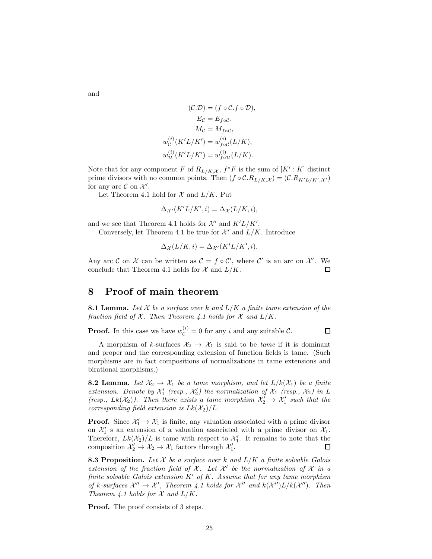and

$$
(\mathcal{C}.\mathcal{D}) = (f \circ \mathcal{C}.f \circ \mathcal{D}),
$$
  
\n
$$
E_{\mathcal{C}} = E_{f \circ \mathcal{C}},
$$
  
\n
$$
M_{\mathcal{C}} = M_{f \circ \mathcal{C}},
$$
  
\n
$$
w_{\mathcal{C}}^{(i)}(K'L/K') = w_{f \circ \mathcal{C}}^{(i)}(L/K),
$$
  
\n
$$
w_{\mathcal{D}}^{(i)}(K'L/K') = w_{f \circ \mathcal{D}}^{(i)}(L/K).
$$

Note that for any component F of  $R_{L/K,\mathcal{X}}, f^*F$  is the sum of  $[K':K]$  distinct prime divisors with no common points. Then  $(f \circ C.R_{L/K,\mathcal{X}}) = (C.R_{K'L/K',\mathcal{X}'})$ for any arc  $\mathcal C$  on  $\mathcal X'.$ 

Let Theorem 4.1 hold for  $\mathcal X$  and  $L/K$ . Put

$$
\Delta_{\mathcal{X}'}(K'L/K',i) = \Delta_{\mathcal{X}}(L/K,i),
$$

and we see that Theorem 4.1 holds for  $\mathcal{X}'$  and  $K'L/K'$ .

Conversely, let Theorem 4.1 be true for  $\mathcal{X}'$  and  $L/K.$  Introduce

$$
\Delta_{\mathcal{X}}(L/K, i) = \Delta_{\mathcal{X}'}(K'L/K', i).
$$

Any arc C on  $\mathcal X$  can be written as  $\mathcal C = f \circ \mathcal C'$ , where  $\mathcal C'$  is an arc on  $\mathcal X'$ . We conclude that Theorem 4.1 holds for  $\mathcal X$  and  $L/K$ . □

# 8 Proof of main theorem

**8.1 Lemma.** Let X be a surface over k and  $L/K$  a finite tame extension of the fraction field of  $\mathcal X$ . Then Theorem 4.1 holds for  $\mathcal X$  and  $L/K$ .

**Proof.** In this case we have  $w_{\mathcal{C}}^{(i)} = 0$  for any i and any suitable  $\mathcal{C}$ .

 $\Box$ 

A morphism of k-surfaces  $\mathcal{X}_2 \to \mathcal{X}_1$  is said to be tame if it is dominant and proper and the corresponding extension of function fields is tame. (Such morphisms are in fact compositions of normalizations in tame extensions and birational morphisms.)

**8.2 Lemma.** Let  $\mathcal{X}_2 \to \mathcal{X}_1$  be a tame morphism, and let  $L/k(\mathcal{X}_1)$  be a finite extension. Denote by  $\mathcal{X}'_1$  (resp.,  $\mathcal{X}'_2$ ) the normalization of  $\mathcal{X}_1$  (resp.,  $\mathcal{X}_2$ ) in L (resp.,  $Lk(\mathcal{X}_2)$ ). Then there exists a tame morphism  $\mathcal{X}'_2 \to \mathcal{X}'_1$  such that the corresponding field extension is  $Lk(\mathcal{X}_2)/L$ .

**Proof.** Since  $\mathcal{X}'_1 \to \mathcal{X}_1$  is finite, any valuation associated with a prime divisor on  $\mathcal{X}'_1$  is an extension of a valuation associated with a prime divisor on  $\mathcal{X}_1$ . Therefore,  $Lk(\mathcal{X}_2)/L$  is tame with respect to  $\mathcal{X}'_1$ . It remains to note that the composition  $\mathcal{X}'_2 \to \mathcal{X}_2 \to \mathcal{X}_1$  factors through  $\mathcal{X}'_1$ . □

**8.3 Proposition.** Let X be a surface over k and  $L/K$  a finite solvable Galois extension of the fraction field of  $X$ . Let  $X'$  be the normalization of  $X$  in a finite solvable Galois extension  $K'$  of  $K$ . Assume that for any tame morphism of k-surfaces  $\mathcal{X}'' \to \mathcal{X}'$ , Theorem 4.1 holds for  $\mathcal{X}''$  and  $k(\mathcal{X}'')L/k(\mathcal{X}'')$ . Then Theorem 4.1 holds for  $\mathcal X$  and  $L/K$ .

**Proof.** The proof consists of 3 steps.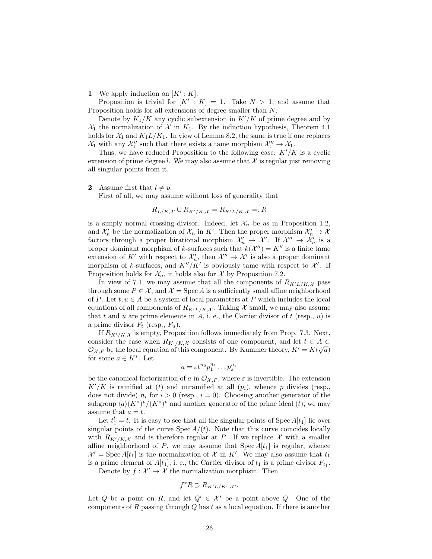**1** We apply induction on  $[K':K]$ .

Proposition is trivial for  $[K' : K] = 1$ . Take  $N > 1$ , and assume that Proposition holds for all extensions of degree smaller than N.

Denote by  $K_1/K$  any cyclic subextension in  $K'/K$  of prime degree and by  $\mathcal{X}_1$  the normalization of  $\mathcal X$  in  $K_1$ . By the induction hypothesis, Theorem 4.1 holds for  $\mathcal{X}_1$  and  $K_1L/K_1$ . In view of Lemma 8.2, the same is true if one replaces  $\mathcal{X}_1$  with any  $\mathcal{X}_1''$  such that there exists a tame morphism  $\mathcal{X}_1'' \to \mathcal{X}_1$ .

Thus, we have reduced Proposition to the following case:  $K'/K$  is a cyclic extension of prime degree l. We may also assume that  $\mathcal X$  is regular just removing all singular points from it.

#### **2** Assume first that  $l \neq p$ .

First of all, we may assume without loss of generality that

$$
R_{L/K,\mathcal{X}} \cup R_{K'/K,\mathcal{X}} = R_{K'L/K,\mathcal{X}} =: R
$$

is a simply normal crossing divisor. Indeed, let  $\mathcal{X}_n$  be as in Proposition 1.2, and  $\mathcal{X}'_n$  be the normalization of  $\mathcal{X}_n$  in K'. Then the proper morphism  $\mathcal{X}'_n \to \mathcal{X}$ factors through a proper birational morphism  $\mathcal{X}'_n \to \mathcal{X}'$ . If  $\mathcal{X}'' \to \mathcal{X}'_n$  is a proper dominant morphism of k-surfaces such that  $k(\mathcal{X}'') = K''$  is a finite tame extension of K' with respect to  $\mathcal{X}'_n$ , then  $\mathcal{X}'' \to \mathcal{X}'$  is also a proper dominant morphism of k-surfaces, and  $K''/K'$  is obviously tame with respect to  $\mathcal{X}'$ . If Proposition holds for  $\mathcal{X}_n$ , it holds also for  $\mathcal X$  by Proposition 7.2.

In view of 7.1, we may assume that all the components of  $R_{K^{\prime}L/K,\mathcal{X}}$  pass through some  $P \in \mathcal{X}$ , and  $\mathcal{X} = \text{Spec } A$  is a sufficiently small affine neighborhood of P. Let  $t, u \in A$  be a system of local parameters at P which includes the local equations of all components of  $R_{K^{\prime}L/K,\mathcal{X}}$ . Taking X small, we may also assume that t and u are prime elements in  $A$ , i. e., the Cartier divisor of t (resp., u) is a prime divisor  $F_t$  (resp.,  $F_u$ ).

If  $R_{K'/K,\mathcal{X}}$  is empty, Proposition follows immediately from Prop. 7.3. Next, consider the case when  $R_{K'/K,\mathcal{X}}$  consists of one component, and let  $t \in A \subset$  $\mathcal{O}_{\mathcal{X},P}$  be the local equation of this component. By Kummer theory,  $K' = K(\sqrt[n]{a})$ for some  $a \in K^*$ . Let

$$
a=\varepsilon t^{n_0}p_1^{n_1}\dots p_s^{n_s}
$$

be the canonical factorization of a in  $\mathcal{O}_{\mathcal{X},P}$ , where  $\varepsilon$  is invertible. The extension  $K'/K$  is ramified at (t) and unramified at all  $(p_i)$ , whence p divides (resp., does not divide)  $n_i$  for  $i > 0$  (resp.,  $i = 0$ ). Choosing another generator of the subgroup  $\langle a \rangle (K^*)^p / (K^*)^p$  and another generator of the prime ideal  $(t)$ , we may assume that  $a = t$ .

Let  $t_1^l = t$ . It is easy to see that all the singular points of Spec  $A[t_1]$  lie over singular points of the curve  $Spec A/(t)$ . Note that this curve coincides locally with  $R_{K'/K,\mathcal{X}}$  and is therefore regular at P. If we replace X with a smaller affine neighborhood of P, we may assume that  $Spec A[t_1]$  is regular, whence  $\mathcal{X}' = \operatorname{Spec} A[t_1]$  is the normalization of  $\mathcal X$  in  $K'$ . We may also assume that  $t_1$ is a prime element of  $A[t_1]$ , i. e., the Cartier divisor of  $t_1$  is a prime divisor  $F_{t_1}$ .

Denote by  $f: \mathcal{X}' \to \mathcal{X}$  the normalization morphism. Then

$$
f^*R\supset R_{K'L/K',\mathcal{X}'}.
$$

Let Q be a point on R, and let  $Q' \in \mathcal{X}'$  be a point above Q. One of the components of R passing through  $Q$  has t as a local equation. If there is another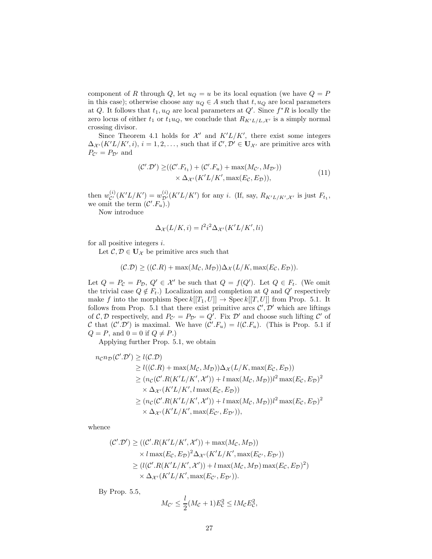component of R through Q, let  $u_Q = u$  be its local equation (we have  $Q = P$ in this case); otherwise choose any  $u_Q \in A$  such that  $t, u_Q$  are local parameters at Q. It follows that  $t_1, u_Q$  are local parameters at  $Q'$ . Since  $f^*R$  is locally the zero locus of either  $t_1$  or  $t_1u_Q$ , we conclude that  $R_{K^{\prime}L/L,\mathcal{X}^{\prime}}$  is a simply normal crossing divisor.

Since Theorem 4.1 holds for  $\mathcal{X}'$  and  $K'L/K'$ , there exist some integers  $\Delta_{\mathcal{X}'}(K'L/K', i), i = 1, 2, ...,$  such that if  $\mathcal{C}', \mathcal{D}' \in U_{\mathcal{X}'}$  are primitive arcs with  $P_{\mathcal{C}'} = P_{\mathcal{D}'}$  and

$$
(\mathcal{C}', \mathcal{D}') \ge ((\mathcal{C}', F_{t_1}) + (\mathcal{C}', F_u) + \max(M_{\mathcal{C}'}, M_{\mathcal{D}'}))
$$
  
 
$$
\times \Delta_{\mathcal{X}'}(K'L/K', \max(E_{\mathcal{C}}, E_{\mathcal{D}})),
$$
 (11)

then  $w_{\mathcal{C}'}^{(i)}(K'L/K') = w_{\mathcal{D}'}^{(i)}(K'L/K')$  for any *i*. (If, say,  $R_{K'L/K',\mathcal{X}'}$  is just  $F_{t_1}$ , we omit the term  $(C'.F_u)$ .)

Now introduce

$$
\Delta_{\mathcal{X}}(L/K,i) = l^2 i^2 \Delta_{\mathcal{X}'}(K'L/K',li)
$$

for all positive integers  $i$ .

Let  $\mathcal{C}, \mathcal{D} \in \mathbf{U}_{\mathcal{X}}$  be primitive arcs such that

$$
(\mathcal{C}.\mathcal{D}) \ge ((\mathcal{C}.\mathcal{R}) + \max(M_{\mathcal{C}}, M_{\mathcal{D}})) \Delta_{\mathcal{X}}(L/K, \max(E_{\mathcal{C}}, E_{\mathcal{D}})).
$$

Let  $Q = P_{\mathcal{C}} = P_{\mathcal{D}}, Q' \in \mathcal{X}'$  be such that  $Q = f(Q')$ . Let  $Q \in F_t$ . (We omit the trivial case  $Q \notin F_t$ .) Localization and completion at  $Q$  and  $Q'$  respectively make f into the morphism  $\text{Spec } k[[T_1, U]] \to \text{Spec } k[[T, U]]$  from Prop. 5.1. It follows from Prop. 5.1 that there exist primitive arcs  $\mathcal{C}', \mathcal{D}'$  which are liftings of C, D respectively, and  $P_{\mathcal{C}'} = P_{\mathcal{D}'} = Q'$ . Fix D' and choose such lifting C' of C that  $(C'.\mathcal{D}')$  is maximal. We have  $(C'.F_u) = l(C.F_u)$ . (This is Prop. 5.1 if  $Q = P$ , and  $0 = 0$  if  $Q \neq P$ .)

Applying further Prop. 5.1, we obtain

$$
n_{\mathcal{C}}n_{\mathcal{D}}(\mathcal{C}',\mathcal{D}') \ge l(\mathcal{C}.\mathcal{D})
$$
  
\n
$$
\ge l((\mathcal{C}.\mathcal{R}) + \max(M_{\mathcal{C}}, M_{\mathcal{D}}))\Delta_{\mathcal{X}}(L/K, \max(E_{\mathcal{C}}, E_{\mathcal{D}}))
$$
  
\n
$$
\ge (n_{\mathcal{C}}(\mathcal{C}'.R(K'L/K', \mathcal{X}')) + l \max(M_{\mathcal{C}}, M_{\mathcal{D}}))l^2 \max(E_{\mathcal{C}}, E_{\mathcal{D}})^2
$$
  
\n
$$
\times \Delta_{\mathcal{X}'}(K'L/K', l \max(E_{\mathcal{C}}, E_{\mathcal{D}}))
$$
  
\n
$$
\ge (n_{\mathcal{C}}(\mathcal{C}'.R(K'L/K', \mathcal{X}')) + l \max(M_{\mathcal{C}}, M_{\mathcal{D}}))l^2 \max(E_{\mathcal{C}}, E_{\mathcal{D}})^2
$$
  
\n
$$
\times \Delta_{\mathcal{X}'}(K'L/K', \max(E_{\mathcal{C}'}, E_{\mathcal{D}'})),
$$

whence

$$
(C'.\mathcal{D}') \ge ((C'.R(K'L/K', \mathcal{X}')) + \max(M_C, M_{\mathcal{D}}))
$$
  
\n
$$
\times l \max(E_C, E_{\mathcal{D}})^2 \Delta_{\mathcal{X}'}(K'L/K', \max(E_{C'}, E_{\mathcal{D}'}))
$$
  
\n
$$
\ge (l(C'.R(K'L/K', \mathcal{X}')) + l \max(M_C, M_{\mathcal{D}}) \max(E_C, E_{\mathcal{D}})^2)
$$
  
\n
$$
\times \Delta_{\mathcal{X}'}(K'L/K', \max(E_{C'}, E_{\mathcal{D}'})).
$$

By Prop. 5.5,

$$
M_{\mathcal{C}'} \le \frac{l}{2}(M_{\mathcal{C}} + 1)E_{\mathcal{C}}^2 \le lM_{\mathcal{C}}E_{\mathcal{C}}^2,
$$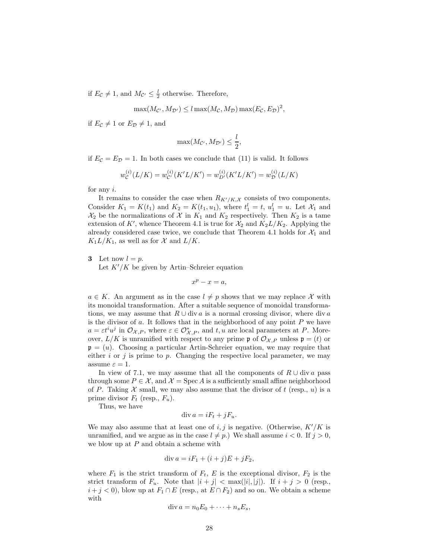if  $E_c \neq 1$ , and  $M_{c'} \leq \frac{l}{2}$  otherwise. Therefore,

$$
\max(M_{\mathcal{C}'}, M_{\mathcal{D}'}) \le l \max(M_{\mathcal{C}}, M_{\mathcal{D}}) \max(E_{\mathcal{C}}, E_{\mathcal{D}})^2,
$$

if  $E_c \neq 1$  or  $E_p \neq 1$ , and

$$
\max(M_{\mathcal{C}'}, M_{\mathcal{D}'}) \le \frac{l}{2},
$$

if  $E_c = E_D = 1$ . In both cases we conclude that (11) is valid. It follows

$$
w_C^{(i)}(L/K) = w_{C'}^{(i)}(K'L/K') = w_{D'}^{(i)}(K'L/K') = w_{D}^{(i)}(L/K)
$$

for any  $i$ .

It remains to consider the case when  $R_{K'/K,\mathcal{X}}$  consists of two components. Consider  $K_1 = K(t_1)$  and  $K_2 = K(t_1, u_1)$ , where  $t_1^l = t$ ,  $u_1^l = u$ . Let  $\mathcal{X}_1$  and  $\mathcal{X}_2$  be the normalizations of  $\mathcal X$  in  $K_1$  and  $K_2$  respectively. Then  $K_2$  is a tame extension of K', whence Theorem 4.1 is true for  $\mathcal{X}_2$  and  $K_2L/K_2$ . Applying the already considered case twice, we conclude that Theorem 4.1 holds for  $\mathcal{X}_1$  and  $K_1L/K_1$ , as well as for X and  $L/K$ .

3 Let now  $l = p$ .

Let  $K'/K$  be given by Artin–Schreier equation

 $x^p - x = a$ ,

 $a \in K$ . An argument as in the case  $l \neq p$  shows that we may replace X with its monoidal transformation. After a suitable sequence of monoidal transformations, we may assume that  $R \cup \text{div } a$  is a normal crossing divisor, where div a is the divisor of  $a$ . It follows that in the neighborhood of any point  $P$  we have  $a = \varepsilon t^i u^j$  in  $\mathcal{O}_{\mathcal{X},P}$ , where  $\varepsilon \in \mathcal{O}_{\mathcal{X},P}^*$ , and  $t, u$  are local parameters at P. Moreover,  $L/K$  is unramified with respect to any prime p of  $\mathcal{O}_{\mathcal{X},P}$  unless  $\mathfrak{p} = (t)$  or  $\mathfrak{p} = (u)$ . Choosing a particular Artin-Schreier equation, we may require that either i or j is prime to p. Changing the respective local parameter, we may assume  $\varepsilon = 1$ .

In view of 7.1, we may assume that all the components of  $R \cup \text{div } a$  pass through some  $P \in \mathcal{X}$ , and  $\mathcal{X} = \text{Spec } A$  is a sufficiently small affine neighborhood of P. Taking  $\mathcal X$  small, we may also assume that the divisor of t (resp., u) is a prime divisor  $F_t$  (resp.,  $F_u$ ).

Thus, we have

$$
\operatorname{div} a = iF_t + jF_u.
$$

We may also assume that at least one of  $i, j$  is negative. (Otherwise,  $K'/K$  is unramified, and we argue as in the case  $l \neq p$ .) We shall assume  $i < 0$ . If  $j > 0$ , we blow up at  $P$  and obtain a scheme with

$$
\operatorname{div} a = iF_1 + (i+j)E + jF_2,
$$

where  $F_1$  is the strict transform of  $F_t$ , E is the exceptional divisor,  $F_2$  is the strict transform of  $F_u$ . Note that  $|i + j| < \max(|i|, |j|)$ . If  $i + j > 0$  (resp.,  $i + j < 0$ , blow up at  $F_1 \cap E$  (resp., at  $E \cap F_2$ ) and so on. We obtain a scheme with

$$
\operatorname{div} a = n_0 E_0 + \cdots + n_s E_s,
$$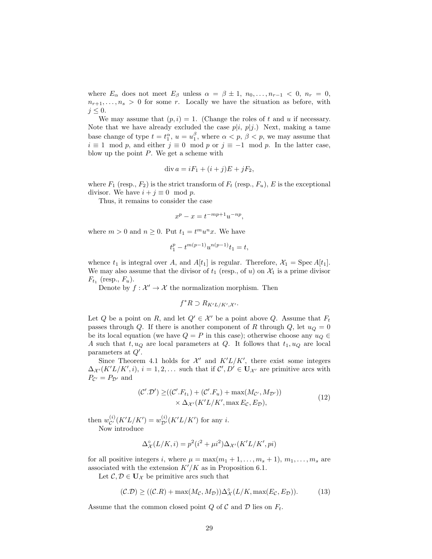where  $E_{\alpha}$  does not meet  $E_{\beta}$  unless  $\alpha = \beta \pm 1, n_0, \ldots, n_{r-1} < 0, n_r = 0$ ,  $n_{r+1}, \ldots, n_s > 0$  for some r. Locally we have the situation as before, with  $j \leq 0$ .

We may assume that  $(p, i) = 1$ . (Change the roles of t and u if necessary. Note that we have already excluded the case  $p|i, p|j$ .) Next, making a tame base change of type  $t = t_1^{\alpha}$ ,  $u = u_1^{\beta}$ , where  $\alpha < p$ ,  $\beta < p$ , we may assume that  $i \equiv 1 \mod p$ , and either  $j \equiv 0 \mod p$  or  $j \equiv -1 \mod p$ . In the latter case, blow up the point  $P$ . We get a scheme with

$$
\operatorname{div} a = iF_1 + (i+j)E + jF_2,
$$

where  $F_1$  (resp.,  $F_2$ ) is the strict transform of  $F_t$  (resp.,  $F_u$ ), E is the exceptional divisor. We have  $i + j \equiv 0 \mod p$ .

Thus, it remains to consider the case

$$
x^p - x = t^{-mp+1}u^{-np},
$$

where  $m > 0$  and  $n \geq 0$ . Put  $t_1 = t^m u^n x$ . We have

$$
t_1^p - t^{m(p-1)}u^{n(p-1)}t_1 = t,
$$

whence  $t_1$  is integral over A, and  $A[t_1]$  is regular. Therefore,  $\mathcal{X}_1 = \text{Spec } A[t_1]$ . We may also assume that the divisor of  $t_1$  (resp., of u) on  $\mathcal{X}_1$  is a prime divisor  $F_{t_1}$  (resp.,  $F_u$ ).

Denote by  $f: \mathcal{X}' \to \mathcal{X}$  the normalization morphism. Then

$$
f^*R \supset R_{K'L/K',\mathcal{X}'}.
$$

Let Q be a point on R, and let  $Q' \in \mathcal{X}'$  be a point above Q. Assume that  $F_t$ passes through Q. If there is another component of R through Q, let  $u<sub>O</sub> = 0$ be its local equation (we have  $Q = P$  in this case); otherwise choose any  $u_Q \in$ A such that  $t, u_Q$  are local parameters at Q. It follows that  $t_1, u_Q$  are local parameters at  $Q'$ .

Since Theorem 4.1 holds for  $\mathcal{X}'$  and  $K'L/K'$ , there exist some integers  $\Delta_{\mathcal{X}'}(K'L/K', i), i = 1, 2, \dots$  such that if  $\mathcal{C}', D' \in \mathbf{U}_{\mathcal{X}'}$  are primitive arcs with  $P_{\mathcal{C}'} = P_{\mathcal{D}'}$  and

$$
(\mathcal{C}', \mathcal{D}') \ge ((\mathcal{C}', F_{t_1}) + (\mathcal{C}', F_u) + \max(M_{\mathcal{C}'}, M_{\mathcal{D}'}))
$$
  
 
$$
\times \Delta_{\mathcal{X}'}(K'L/K', \max E_{\mathcal{C}}, E_{\mathcal{D}}),
$$
 (12)

then  $w_{\mathcal{C}'}^{(i)}(K'L/K') = w_{\mathcal{D}'}^{(i)}(K'L/K')$  for any *i*. Now introduce

$$
\Delta^{\circ}_{\mathcal{X}}(L/K, i) = p^2(i^2 + \mu i^2) \Delta_{\mathcal{X}'}(K'L/K', pi)
$$

for all positive integers i, where  $\mu = \max(m_1 + 1, \ldots, m_s + 1), m_1, \ldots, m_s$  are associated with the extension  $K'/K$  as in Proposition 6.1.

Let  $\mathcal{C}, \mathcal{D} \in \mathbf{U}_{\mathcal{X}}$  be primitive arcs such that

$$
(\mathcal{C}.\mathcal{D}) \ge ((\mathcal{C}.\mathcal{R}) + \max(M_{\mathcal{C}}, M_{\mathcal{D}}))\Delta_{\mathcal{X}}^{\circ}(L/K, \max(E_{\mathcal{C}}, E_{\mathcal{D}})).
$$
 (13)

Assume that the common closed point Q of C and D lies on  $F_t$ .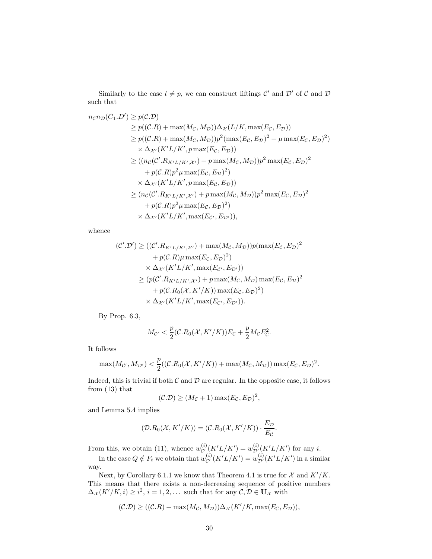Similarly to the case  $l \neq p$ , we can construct liftings  $\mathcal{C}'$  and  $\mathcal{D}'$  of  $\mathcal{C}$  and  $\mathcal{D}$ such that

$$
n_{\mathcal{C}}n_{\mathcal{D}}(C_1.D') \geq p(\mathcal{C}.D)
$$
  
\n
$$
\geq p((\mathcal{C}.R) + \max(M_{\mathcal{C}}, M_{\mathcal{D}}))\Delta_{\mathcal{X}}(L/K, \max(E_{\mathcal{C}}, E_{\mathcal{D}}))
$$
  
\n
$$
\geq p((\mathcal{C}.R) + \max(M_{\mathcal{C}}, M_{\mathcal{D}}))p^2(\max(E_{\mathcal{C}}, E_{\mathcal{D}})^2 + \mu \max(E_{\mathcal{C}}, E_{\mathcal{D}})^2)
$$
  
\n
$$
\times \Delta_{\mathcal{X}'}(K'L/K', p \max(E_{\mathcal{C}}, E_{\mathcal{D}}))
$$
  
\n
$$
\geq ((n_{\mathcal{C}}(\mathcal{C}'.R_{K'L/K',\mathcal{X}'}) + p \max(M_{\mathcal{C}}, M_{\mathcal{D}}))p^2 \max(E_{\mathcal{C}}, E_{\mathcal{D}})^2
$$
  
\n
$$
\times \Delta_{\mathcal{X}'}(K'L/K', p \max(E_{\mathcal{C}}, E_{\mathcal{D}}))
$$
  
\n
$$
\geq (n_{\mathcal{C}}(\mathcal{C}'.R_{K'L/K',\mathcal{X}'}) + p \max(M_{\mathcal{C}}, M_{\mathcal{D}}))p^2 \max(E_{\mathcal{C}}, E_{\mathcal{D}})^2
$$
  
\n
$$
+ p(\mathcal{C}.R)p^2\mu \max(E_{\mathcal{C}}, E_{\mathcal{D}})^2)
$$
  
\n
$$
\times \Delta_{\mathcal{X}'}(K'L/K', \max(E_{\mathcal{C}'}, E_{\mathcal{D}'})),
$$

whence

$$
(C'.\mathcal{D}') \ge ((C'.R_{K'L/K',\mathcal{X}'}) + \max(M_{\mathcal{C}}, M_{\mathcal{D}}))p(\max(E_{\mathcal{C}}, E_{\mathcal{D}})^2
$$
  
+  $p(C.R)\mu \max(E_{\mathcal{C}}, E_{\mathcal{D}})^2)$   
×  $\Delta_{\mathcal{X}'}(K'L/K', \max(E_{\mathcal{C}'}, E_{\mathcal{D}'}))$   
≥  $(p(C'.R_{K'L/K',\mathcal{X}'}) + p \max(M_{\mathcal{C}}, M_{\mathcal{D}}) \max(E_{\mathcal{C}}, E_{\mathcal{D}})^2$   
+  $p(C.R_0(\mathcal{X}, K'/K)) \max(E_{\mathcal{C}}, E_{\mathcal{D}'})$   
×  $\Delta_{\mathcal{X}'}(K'L/K', \max(E_{\mathcal{C}'}, E_{\mathcal{D}'})).$ 

By Prop. 6.3,

$$
M_{\mathcal{C}'} < \frac{p}{2}(\mathcal{C}.R_0(\mathcal{X}, K'/K))E_{\mathcal{C}} + \frac{p}{2}M_{\mathcal{C}}E_{\mathcal{C}}^2.
$$

It follows

$$
\max(M_{\mathcal{C}'}, M_{\mathcal{D}'}) < \frac{p}{2}((\mathcal{C}.R_0(\mathcal{X}, K'/K)) + \max(M_{\mathcal{C}}, M_{\mathcal{D}})) \max(E_{\mathcal{C}}, E_{\mathcal{D}})^2.
$$

Indeed, this is trivial if both  $C$  and  $D$  are regular. In the opposite case, it follows from (13) that

$$
(\mathcal{C}.\mathcal{D}) \ge (M_{\mathcal{C}} + 1) \max(E_{\mathcal{C}}, E_{\mathcal{D}})^2,
$$

and Lemma 5.4 implies

$$
(\mathcal{D}.R_0(\mathcal{X}, K'/K)) = (\mathcal{C}.R_0(\mathcal{X}, K'/K)) \cdot \frac{E_{\mathcal{D}}}{E_{\mathcal{C}}}.
$$

From this, we obtain (11), whence  $w_{\mathcal{C}'}^{(i)}(K'L/K') = w_{\mathcal{D}'}^{(i)}(K'L/K')$  for any *i*.

In the case  $Q \notin F_t$  we obtain that  $w_{\mathcal{C}'}^{(i)}(K'L/K') = w_{\mathcal{D}'}^{(i)}(K'L/K')$  in a similar way.

Next, by Corollary 6.1.1 we know that Theorem 4.1 is true for  $\mathcal X$  and  $K'/K$ . This means that there exists a non-decreasing sequence of positive numbers  $\Delta_{\mathcal{X}}(K'/K, i) \geq i^2, i = 1, 2, \dots$  such that for any  $\mathcal{C}, \mathcal{D} \in \mathbf{U}_{\mathcal{X}}$  with

$$
(\mathcal{C}.\mathcal{D}) \ge ((\mathcal{C}.\mathcal{R}) + \max(M_{\mathcal{C}}, M_{\mathcal{D}}))\Delta_{\mathcal{X}}(K'/K, \max(E_{\mathcal{C}}, E_{\mathcal{D}})),
$$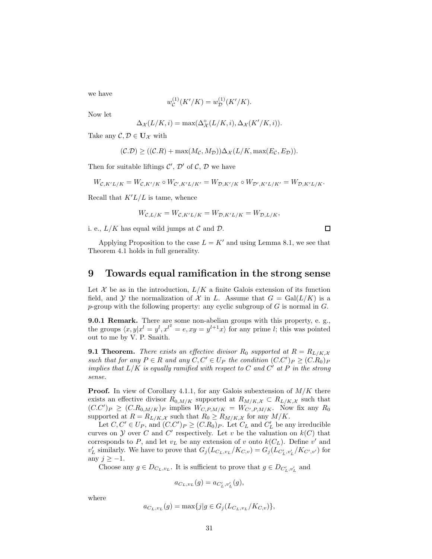we have

$$
w_{\mathcal{C}}^{(1)}(K'/K) = w_{\mathcal{D}}^{(1)}(K'/K).
$$

Now let

$$
\Delta_{\mathcal{X}}(L/K,i) = \max(\Delta_{\mathcal{X}}^{\circ}(L/K,i), \Delta_{\mathcal{X}}(K'/K,i)).
$$

Take any  $\mathcal{C}, \mathcal{D} \in \mathbf{U}_{\mathcal{X}}$  with

$$
(\mathcal{C}.\mathcal{D}) \ge ((\mathcal{C}.\mathcal{R}) + \max(M_{\mathcal{C}}, M_{\mathcal{D}})) \Delta_{\mathcal{X}}(L/K, \max(E_{\mathcal{C}}, E_{\mathcal{D}})).
$$

Then for suitable liftings  $\mathcal{C}'$ ,  $\mathcal{D}'$  of  $\mathcal{C}$ ,  $\mathcal{D}$  we have

$$
W_{\mathcal{C}, K'L/K}=W_{\mathcal{C}, K'/K}\circ W_{\mathcal{C}', K'L/K'}=W_{\mathcal{D}, K'/K}\circ W_{\mathcal{D}', K'L/K'}=W_{\mathcal{D}, K'L/K}.
$$

Recall that  $K'L/L$  is tame, whence

$$
W_{\mathcal{C},L/K} = W_{\mathcal{C},K'L/K} = W_{\mathcal{D},K'L/K} = W_{\mathcal{D},L/K},
$$

i. e.,  $L/K$  has equal wild jumps at  $\mathcal C$  and  $\mathcal D$ .

Applying Proposition to the case  $L = K'$  and using Lemma 8.1, we see that Theorem 4.1 holds in full generality.

## 9 Towards equal ramification in the strong sense

Let  $\mathcal X$  be as in the introduction,  $L/K$  a finite Galois extension of its function field, and Y the normalization of X in L. Assume that  $G = \text{Gal}(L/K)$  is a  $p$ -group with the following property: any cyclic subgroup of  $G$  is normal in  $G$ .

9.0.1 Remark. There are some non-abelian groups with this property, e. g., the groups  $\langle x, y | x^l = y^l, x^{l^2} = e, xy = y^{l+1}x \rangle$  for any prime l; this was pointed out to me by V. P. Snaith.

**9.1 Theorem.** There exists an effective divisor  $R_0$  supported at  $R = R_{L/K,X}$ such that for any  $P \in R$  and any  $C, C' \in U_P$  the condition  $(C.C')_P \geq (C.R_0)_P$ implies that  $L/K$  is equally ramified with respect to C and C' at P in the strong sense.

**Proof.** In view of Corollary 4.1.1, for any Galois subextension of  $M/K$  there exists an effective divisor  $R_{0,M/K}$  supported at  $R_{M/K,\mathcal{X}} \subset R_{L/K,\mathcal{X}}$  such that  $(C.C')_P \geq (C.R_{0,M/K})_P$  implies  $W_{C,P,M/K} = W_{C',P,M/K}$ . Now fix any  $R_0$ supported at  $R = R_{L/K, \mathcal{X}}$  such that  $R_0 \ge R_{M/K, \mathcal{X}}$  for any  $M/K$ .

Let  $C, C' \in U_P$ , and  $(C.C')_P \geq (C.R_0)_P$ . Let  $C_L$  and  $C'_L$  be any irreducible curves on  $\mathcal Y$  over  $C$  and  $C'$  respectively. Let  $v$  be the valuation on  $k(C)$  that corresponds to P, and let  $v<sub>L</sub>$  be any extension of v onto  $k(C<sub>L</sub>)$ . Define v' and  $v'_{L}$  similarly. We have to prove that  $G_j(L_{C_L,v_L}/K_{C,v}) = G_j(L_{C'_L,v'_L}/K_{C',v'})$  for any  $j \geq -1$ .

Choose any  $g \in D_{C_L, v_L}$ . It is sufficient to prove that  $g \in D_{C'_L, v'_L}$  and

$$
a_{C_L, v_L}(g) = a_{C'_L, v'_L}(g),
$$

where

$$
a_{C_L, v_L}(g) = \max\{j|g \in G_j(L_{C_L, v_L}/K_{C, v})\},\
$$

 $\Box$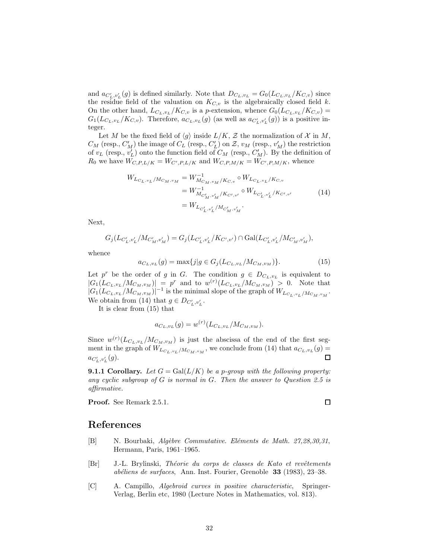and  $a_{C'_L, v'_L}(g)$  is defined similarly. Note that  $D_{C_L, v_L} = G_0(L_{C_L, v_L}/K_{C,v})$  since the residue field of the valuation on  $K_{C,v}$  is the algebraically closed field k. On the other hand,  $L_{C_L,v_L}/K_{C,v}$  is a p-extension, whence  $G_0(L_{C_L,v_L}/K_{C,v})$  =  $G_1(L_{C_L,v_L}/K_{C,v})$ . Therefore,  $a_{C_L,v_L}(g)$  (as well as  $a_{C'_L,v'_L}(g)$ ) is a positive integer.

Let M be the fixed field of  $\langle g \rangle$  inside  $L/K$ , Z the normalization of X in M,  $C_M$  (resp.,  $C'_M$ ) the image of  $C_L$  (resp.,  $C'_L$ ) on  $\mathcal{Z}$ ,  $v_M$  (resp.,  $v'_M$ ) the restriction of  $v_L$  (resp.,  $v'_L$ ) onto the function field of  $C_M$  (resp.,  $C'_M$ ). By the definition of  $R_0$  we have  $W_{C,P,L/K} = W_{C',P,L/K}$  and  $W_{C,P,M/K} = W_{C',P,M/K}$ , whence

$$
W_{L_{C_L, v_L}/M_{C_M, v_M}} = W_{M_{C_M, v_M}/K_{C,v}}^{-1} \circ W_{L_{C_L, v_L}/K_{C,v}} = W_{M_{C_M', v_M}/K_{C', v'}}^{-1} \circ W_{L_{C_L', v_L}/K_{C', v'}} = W_{L_{C_L', v_L}/M_{C_M', v_M'}}.
$$
\n(14)

Next,

$$
G_j(L_{C'_L, v'_L}/M_{C'_M, v'_M}) = G_j(L_{C'_L, v'_L}/K_{C', v'}) \cap \text{Gal}(L_{C'_L, v'_L}/M_{C'_M, v'_M}),
$$

whence

$$
a_{C_L, v_L}(g) = \max\{j|g \in G_j(L_{C_L, v_L}/M_{C_M, v_M})\}.
$$
\n(15)

Let p<sup>r</sup> be the order of g in G. The condition  $g \in D_{C_L, v_L}$  is equivalent to  $|G_1(L_{C_L,v_L}/M_{C_M,v_M})| = p^r$  and to  $w^{(r)}(L_{C_L,v_L}/M_{C_M,v_M}) > 0$ . Note that  $|G_1(L_{C_L,v_L}/M_{C_M,v_M})|^{-1}$  is the minimal slope of the graph of  $W_{L_{C_L,v_L}/M_{C_M,v_M}}$ . We obtain from (14) that  $g \in D_{C'_L, v'_L}$ .

It is clear from (15) that

$$
a_{C_L, v_L}(g) = w^{(r)}(L_{C_L, v_L}/M_{C_M, v_M}).
$$

Since  $w^{(r)}(L_{C_L,v_L}/M_{C_M,v_M})$  is just the abscissa of the end of the first segment in the graph of  $W_{L_{C_L,v_L}/M_{C_M,v_M}}$ , we conclude from (14) that  $a_{C_L,v_L}(g)$  = □  $a_{C_{L}',v_{L}'}(g).$ 

**9.1.1 Corollary.** Let  $G = \text{Gal}(L/K)$  be a p-group with the following property: any cyclic subgroup of  $G$  is normal in  $G$ . Then the answer to Question 2.5 is affirmative.

Proof. See Remark 2.5.1.

□

## References

- [B] N. Bourbaki, Algèbre Commutative. Eléments de Math. 27,28,30,31, Hermann, Paris, 1961–1965.
- [Br] J.-L. Brylinski, *Théorie du corps de classes de Kato et revêtements*  $a$ béliens de surfaces, Ann. Inst. Fourier, Grenoble 33 (1983), 23–38.
- [C] A. Campillo, Algebroid curves in positive characteristic, Springer-Verlag, Berlin etc, 1980 (Lecture Notes in Mathematics, vol. 813).